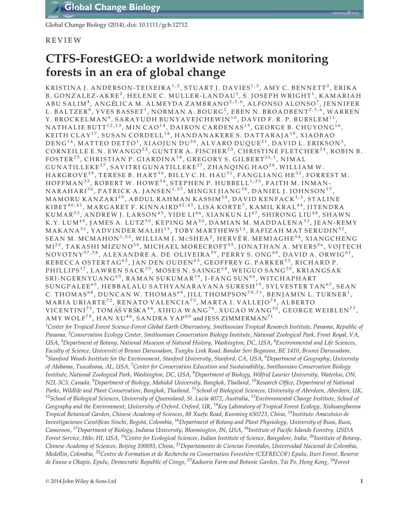Global Change Biology (2014), doi: 10.1111/gcb.12712

# REVIEW

# CTFS-ForestGEO: a worldwide network monitoring forests in an era of global change

KRISTINA J. ANDERSON-TEIXEIRA<sup>1,2</sup>, STUART J. DAVIES<sup>1,3</sup>, AMY C. BENNETT<sup>2</sup>, ERIKA B. GONZALEZ-AKRE<sup>2</sup>, HELENE C. MULLER-LANDAU<sup>1</sup>, S. JOSEPH WRIGHT<sup>1</sup>, KAMARIAH ABU SALIM<sup>4</sup>, ANGÉLICA M. ALMEYDA ZAMBRANO<sup>2,5,6</sup>, ALFONSO ALONSO<sup>7</sup>, JENNIFER L. BALTZER<sup>8</sup>, YVES BASSET<sup>1</sup>, NORMAN A. BOURG<sup>2</sup>, EBEN N. BROADBENT<sup>2,5,6</sup>, WARREN Y. BROCKELMAN<sup>9</sup>, SARAYUDH BUNYAVEJCHEWIN<sup>10</sup>, DAVID F. R. P. BURSLEM<sup>11</sup>, NATHALIE BUTT<sup>12,13</sup>, MIN CAO<sup>14</sup>, DAIRON CARDENAS<sup>15</sup>, GEORGE B. CHUYONG<sup>16</sup>, KEITH CLAY<sup>17</sup>, SUSAN CORDELL<sup>18</sup>, HANDANAKERE S. DATTARAJA<sup>19</sup>, XIAOBAO DENG<sup>14</sup>, MATTEO DETTO<sup>1</sup>, XIAOJUN DU<sup>20</sup>, ALVARO DUQUE<sup>21</sup>, DAVID L. ERIKSON<sup>3</sup>, CORNEILLE E.N. EWANGO<sup>22</sup>, GUNTER A. FISCHER<sup>23</sup>, CHRISTINE FLETCHER<sup>24</sup>, ROBIN B. FOSTER<sup>25</sup>, CHRISTIAN P. GIARDINA<sup>18</sup>, GREGORY S. GILBERT<sup>26,1</sup>, NIMAL GUNATILLEKE<sup>27</sup>, SAVITRI GUNATILLEKE<sup>27</sup>, ZHANQING HAO<sup>28</sup>, WILLIAM W. HARGROVE<sup>29</sup>, TERESE B. HART<sup>30</sup>, BILLY C.H. HAU<sup>31</sup>, FANGLIANG HE<sup>32</sup>, FORREST M. HOFFMAN<sup>33</sup>, ROBERT W. HOWE<sup>34</sup>, STEPHEN P. HUBBELL<sup>1,35</sup>, FAITH M. INMAN-NARAHARI $^{36}$ , PATRICK A. JANSEN<sup>1,37</sup>, MINGXI JIANG<sup>38</sup>, DANIEL J. JOHNSON<sup>17</sup>, MAMORU KANZAKI<sup>39</sup>, ABDUL RAHMAN KASSIM<sup>24</sup>, DAVID KENFACK<sup>1,3</sup>, STALINE KIBET $^{\rm 40,41}$ , MARGARET F. KINNAIRD $^{\rm 42,43}$ , LISA KORTE $^{\rm 7}$ , KAMIL KRAL $^{\rm 44}$ , JITENDRA KUMAR $^{33}$ , ANDREW J. LARSON $^{45}$ , YIDE LI $^{46}$ , XIANKUN LI $^{47}$ , SHIRONG LIU $^{48}$ , SHAWN K.Y. LUM<sup>49</sup>, JAMES A. LUTZ<sup>50</sup>, KEPING MA<sup>20</sup>, DAMIAN M. MADDALENA<sup>33</sup>, JEAN-REMY MAKANA<sup>51</sup>, YADVINDER MALHI<sup>13</sup>, TOBY MARTHEWS<sup>13</sup>, RAFIZAH MAT SERUDIN<sup>52</sup>, SEAN M. MCMAHON<sup>1,53</sup>, WILLIAM J. McSHEA<sup>2</sup>, HERVÉR. MEMIAGHE<sup>54</sup>, XIANGCHENG MI<sup>20</sup>, TAKASHI MIZUNO<sup>39</sup>, MICHAEL MORECROFT<sup>55</sup>, JONATHAN A. MYERS<sup>56</sup>, VOJTECH NOVOTNY<sup>57,58</sup>, ALEXANDRE A. DE OLIVEIRA<sup>59</sup>, PERRY S. ONG<sup>60</sup>, DAVID A. ORWIG<sup>61</sup>, REBECCA OSTERTAG<sup>62</sup>, JAN DEN OUDEN<sup>63</sup>, GEOFFREY G. PARKER<sup>53</sup>, RICHARD P. PHILLIPS<sup>17</sup>, LAWREN SACK<sup>35</sup>, MOSES N. SAINGE<sup>64</sup>, WEIGUO SANG<sup>20</sup>, KRIANGSAK SRI-NGERNYUANG<sup>65</sup>, RAMAN SUKUMAR<sup>19</sup>, I-FANG SUN<sup>66</sup>, WITCHAPHART  $SUNGPALEE<sup>65</sup>$ , HEBBALALU SATHYANARAYANA SURESH<sup>19</sup>, SYLVESTER TAN<sup>67</sup>, SEAN C. THOMAS<sup>68</sup>, DUNCAN W. THOMAS<sup>69</sup>, JILL THOMPSON<sup>70,71</sup>, BENJAMIN L. TURNER<sup>1</sup>, MARIA URIARTE<sup>72</sup>, RENATO VALENCIA<sup>73</sup>, MARTA I. VALLEJO<sup>74</sup>, ALBERTO VICENTINI $^{75}$ , TOMÁŠVRŠKA $^{44}$ , XIHUA WANG $^{76}$ , XUGAO WANG $^{30}$ , GEORGE WEIBLEN $^{77}$ , AMY WOLF<sup>78</sup>, HAN XU<sup>46</sup>, SANDRA YAP<sup>60</sup> and JESS ZIMMERMAN<sup>71</sup>

<sup>1</sup>Center for Tropical Forest Science-Forest Global Earth Observatory, Smithsonian Tropical Research Institute, Panama, Republic of Panama, <sup>2</sup>Conservation Ecology Center, Smithsonian Conservation Biology Institute, National Zoological Park, Front Royal, VA, USA, <sup>3</sup>Department of Botany, National Museum of Natural History, Washington, DC, USA, <sup>4</sup>Environmental and Life Sciences, Faculty of Science, Universiti of Brunei Darussalam, Tungku Link Road, Bandar Seri Begawan, BE 1410, Brunei Darussalam, <sup>5</sup>Stanford Woods Institute for the Environment, Stanford University, Stanford, CA, USA, <sup>6</sup>Department of Geography, University of Alabama, Tuscaloosa, AL, USA, <sup>7</sup>Center for Conservation Education and Sustainability, Smithsonian Conservation Biology Institute, National Zoological Park, Washington, DC, USA, <sup>8</sup>Department of Biology, Wilfrid Laurier University, Waterloo, ON, N2L 3C5, Canada, <sup>9</sup>Department of Biology, Mahidol University, Bangkok, Thailand, <sup>10</sup>Research Office, Department of National Parks, Wildlife and Plant Conservation, Bangkok, Thailand, <sup>11</sup>School of Biological Sciences, University of Aberdeen, Aberdeen, UK,  $12$ School of Biological Sciences, University of Queensland, St. Lucia 4072, Australia,  $13$ Environmental Change Institute, School of Geography and the Environment, University of Oxford, Oxford, UK, <sup>14</sup>Key Laboratory of Tropical Forest Ecology, Xishuangbanna Tropical Botanical Garden, Chinese Academy of Sciences, 88 Xuefu Road, Kunming 650223, China, <sup>15</sup>Instituto Amazónico de Investigaciones Científicas Sinchi, Bogotá, Colombia, <sup>16</sup>Department of Botany and Plant Physiology, University of Buea, Buea, Cameroon, <sup>17</sup>Department of Biology, Indiana University, Bloomington, IN, USA, <sup>18</sup>Institute of Pacific Islands Forestry, USDA Forest Service, Hilo, HI, USA, <sup>19</sup>Centre for Ecological Sciences, Indian Institute of Science, Bangalore, India, <sup>20</sup>Institute of Botany, Chinese Academy of Sciences, Beijing 100093, China, <sup>21</sup>Departamento de Ciencias Forestales, Universidad Nacional de Colombia, Medellin, Colombia, <sup>22</sup>Centre de Formation et de Recherche en Conservation Forestiere (CEFRECOF) Epulu, Ituri Forest, Reserve de Faune a Okapis, Epulu, Democratic Republic of Congo, <sup>23</sup>Kadoorie Farm and Botanic Garden, Tai Po, Hong Kong, <sup>24</sup>Forest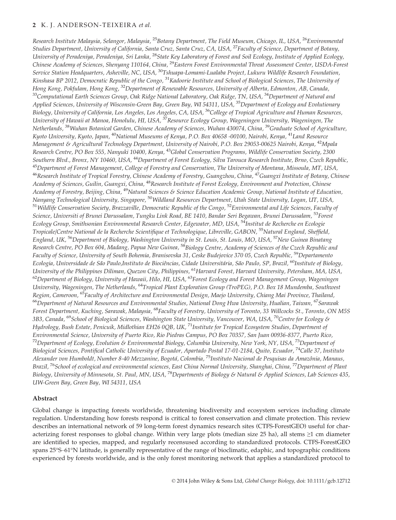Research Institute Malaysia, Selangor, Malaysia, <sup>25</sup>Botany Department, The Field Museum, Chicago, IL, USA, <sup>26</sup>Environmental Studies Department, University of California, Santa Cruz, Santa Cruz, CA, USA, <sup>27</sup>Faculty of Science, Department of Botany, University of Peradeniya, Peradeniya, Sri Lanka, <sup>28</sup>State Key Laboratory of Forest and Soil Ecology, Institute of Applied Ecology, Chinese Academy of Sciences, Shenyang 110164, China, <sup>29</sup>Eastern Forest Environmental Threat Assessment Center, USDA-Forest Service Station Headquarters, Asheville, NC, USA, <sup>30</sup>Tshuapa-Lomami-Lualaba Project, Lukuru Wildlife Research Foundation, Kinshasa BP 2012, Democratic Republic of the Congo, <sup>31</sup>Kadoorie Institute and School of Biological Sciences, The University of Hong Kong, Pokfulam, Hong Kong, <sup>32</sup>Department of Renewable Resources, University of Alberta, Edmonton, AB, Canada, 33Computational Earth Sciences Group, Oak Ridge National Laboratory, Oak Ridge, TN, USA, <sup>34</sup>Department of Natural and Applied Sciences, University of Wisconsin-Green Bay, Green Bay, WI 54311, USA, <sup>35</sup>Department of Ecology and Evolutionary Biology, University of California, Los Angeles, Los Angeles, CA, USA, <sup>36</sup>College of Tropical Agriculture and Human Resources, University of Hawaii at Manoa, Honolulu, HI, USA, <sup>37</sup>Resource Ecology Group, Wageningen University, Wageningen, The Netherlands, <sup>38</sup>Wuhan Botanical Garden, Chinese Academy of Sciences, Wuhan 430074, China, <sup>39</sup>Graduate School of Agriculture, Kyoto University, Kyoto, Japan, <sup>40</sup>National Museums of Kenya, P.O. Box 40658 -00100, Nairobi, Kenya, <sup>41</sup>Land Resource Management & Agricultural Technology Department, University of Nairobi, P.O. Box 29053-00625 Nairobi, Kenya, <sup>42</sup>Mpala Research Centre, PO Box 555, Nanyuki 10400, Kenya, <sup>43</sup>Global Conservation Programs, Wildlife Conservation Society, 2300 Southern Blvd., Bronx, NY 10460, USA, <sup>44</sup>Department of Forest Ecology, Silva Tarouca Research Institute, Brno, Czech Republic, <sup>45</sup>Department of Forest Management, College of Forestry and Conservation, The University of Montana, Missoula, MT, USA, <sup>46</sup>Research Institute of Tropical Forestry, Chinese Academy of Forestry, Guangzhou, China, <sup>47</sup>Guangxi Institute of Botany, Chinese Academy of Sciences, Guilin, Guangxi, China, <sup>48</sup>Research Institute of Forest Ecology, Environment and Protection, Chinese Academy of Forestry, Beijing, China, <sup>49</sup>Natural Sciences & Science Education Academic Group, National Institute of Education, Nanyang Technological University, Singapore, <sup>50</sup>Wildland Resources Department, Utah State University, Logan, UT, USA, <sup>51</sup> Wildlife Conservation Society, Brazzaville, Democratic Republic of the Congo, <sup>52</sup>Environmental and Life Sciences, Faculty of Science, Universiti of Brunei Darussalam, Tungku Link Road, BE 1410, Bandar Seri Begawan, Brunei Darussalam, <sup>53</sup>Forest Ecology Group, Smithsonian Environmental Research Center, Edgewater, MD, USA, <sup>54</sup>Institut de Recherche en Ecologie Tropicale/Centre National de la Recherche Scientifique et Technologique, Libreville, GABON, <sup>55</sup>Natural England, Sheffield, England, UK, <sup>56</sup>Department of Biology, Washington University in St. Louis, St. Louis, MO, USA, <sup>57</sup>New Guinea Binatang Research Centre, PO Box 604, Madang, Papua New Guinea, <sup>58</sup>Biology Centre, Academy of Sciences of the Czech Republic and Faculty of Science, University of South Bohemia, Branisovska 31, Ceske Budejovice 370 05, Czech Republic, <sup>59</sup>Departamento Ecologia, Universidade de São Paulo,Instituto de Biociências, Cidade Universitária, São Paulo, SP, Brazil, <sup>60</sup>Institute of Biology, University of the Philippines Diliman, Quezon City, Philippines, <sup>61</sup>Harvard Forest, Harvard University, Petersham, MA, USA,  $62$ Department of Biology, University of Hawaii, Hilo, HI, USA,  $63$ Forest Ecology and Forest Management Group, Wageningen University, Wageningen, The Netherlands, <sup>64</sup>Tropical Plant Exploration Group (TroPEG), P.O. Box 18 Mundemba, Southwest Region, Cameroon, <sup>65</sup>Faculty of Architecture and Environmental Design, Maejo University, Chiang Mai Province, Thailand, <sup>66</sup>Department of Natural Resources and Environmental Studies, National Dong Hwa University, Hualian, Taiwan, <sup>67</sup>Sarawak Forest Department, Kuching, Sarawak, Malaysia, <sup>68</sup>Faculty of Forestry, University of Toronto, 33 Willcocks St., Toronto, ON M5S 3B3, Canada, <sup>69</sup>School of Biological Sciences, Washington State University, Vancouver, WA, USA, <sup>70</sup>Centre for Ecology & Hydrology, Bush Estate, Penicuik, Midlothian EH26 0QB, UK, <sup>71</sup>Institute for Tropical Ecosystem Studies, Department of Environmental Science, University of Puerto Rico, Rio Piedras Campus, PO Box 70357, San Juan 00936-8377, Puerto Rico, <sup>72</sup>Department of Ecology, Evolution & Environmental Biology, Columbia University, New York, NY, USA, <sup>73</sup>Department of Biological Sciences, Pontifical Catholic University of Ecuador, Apartado Postal 17-01-2184, Quito, Ecuador, <sup>74</sup>Calle 37, Instituto Alexander von Humboldt, Number 8-40 Mezzanine, Bogotá, Colombia, <sup>75</sup>Instituto Nacional de Pesquisas da Amazônia, Manaus, Brazil, <sup>76</sup>School of ecological and environmental sciences, East China Normal University, Shanghai, China, <sup>77</sup>Department of Plant Biology, University of Minnesota, St. Paul, MN, USA, <sup>78</sup>Departments of Biology & Natural & Applied Sciences, Lab Sciences 435, UW-Green Bay, Green Bay, WI 54311, USA

# Abstract

Global change is impacting forests worldwide, threatening biodiversity and ecosystem services including climate regulation. Understanding how forests respond is critical to forest conservation and climate protection. This review describes an international network of 59 long-term forest dynamics research sites (CTFS-ForestGEO) useful for characterizing forest responses to global change. Within very large plots (median size 25 ha), all stems ≥1 cm diameter are identified to species, mapped, and regularly recensused according to standardized protocols. CTFS-ForestGEO spans 25°S–61°N latitude, is generally representative of the range of bioclimatic, edaphic, and topographic conditions experienced by forests worldwide, and is the only forest monitoring network that applies a standardized protocol to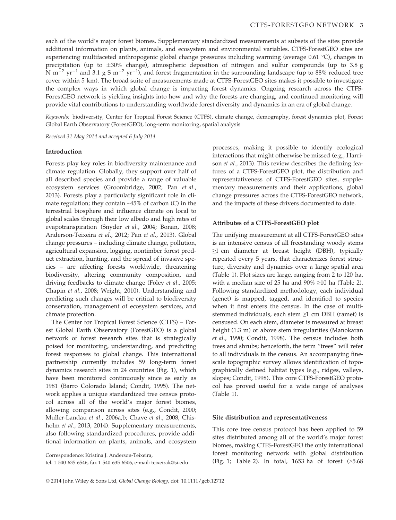each of the world's major forest biomes. Supplementary standardized measurements at subsets of the sites provide additional information on plants, animals, and ecosystem and environmental variables. CTFS-ForestGEO sites are experiencing multifaceted anthropogenic global change pressures including warming (average 0.61 °C), changes in precipitation (up to  $\pm 30\%$  change), atmospheric deposition of nitrogen and sulfur compounds (up to 3.8 g N m<sup>-2</sup> yr<sup>-1</sup> and 3.1 g S m<sup>-2</sup> yr<sup>-1</sup>), and forest fragmentation in the surrounding landscape (up to 88% reduced tree cover within 5 km). The broad suite of measurements made at CTFS-ForestGEO sites makes it possible to investigate the complex ways in which global change is impacting forest dynamics. Ongoing research across the CTFS-ForestGEO network is yielding insights into how and why the forests are changing, and continued monitoring will provide vital contributions to understanding worldwide forest diversity and dynamics in an era of global change.

Keywords: biodiversity, Center for Tropical Forest Science (CTFS), climate change, demography, forest dynamics plot, Forest Global Earth Observatory (ForestGEO), long-term monitoring, spatial analysis

Received 31 May 2014 and accepted 6 July 2014

#### Introduction

Forests play key roles in biodiversity maintenance and climate regulation. Globally, they support over half of all described species and provide a range of valuable ecosystem services (Groombridge, 2002; Pan et al., 2013). Forests play a particularly significant role in climate regulation; they contain  $\sim$ 45% of carbon (C) in the terrestrial biosphere and influence climate on local to global scales through their low albedo and high rates of evapotranspiration (Snyder et al., 2004; Bonan, 2008; Anderson-Teixeira et al., 2012; Pan et al., 2013). Global change pressures – including climate change, pollution, agricultural expansion, logging, nontimber forest product extraction, hunting, and the spread of invasive species – are affecting forests worldwide, threatening biodiversity, altering community composition, and driving feedbacks to climate change (Foley et al., 2005; Chapin et al., 2008; Wright, 2010). Understanding and predicting such changes will be critical to biodiversity conservation, management of ecosystem services, and climate protection.

The Center for Tropical Forest Science (CTFS) – Forest Global Earth Observatory (ForestGEO) is a global network of forest research sites that is strategically poised for monitoring, understanding, and predicting forest responses to global change. This international partnership currently includes 59 long-term forest dynamics research sites in 24 countries (Fig. 1), which have been monitored continuously since as early as 1981 (Barro Colorado Island; Condit, 1995). The network applies a unique standardized tree census protocol across all of the world's major forest biomes, allowing comparison across sites (e.g., Condit, 2000; Muller-Landau et al., 2006a,b; Chave et al., 2008; Chisholm et al., 2013, 2014). Supplementary measurements, also following standardized procedures, provide additional information on plants, animals, and ecosystem

Correspondence: Kristina J. Anderson-Teixeira,

tel. 1 540 635 6546, fax 1 540 635 6506, e-mail: teixeirak@si.edu

processes, making it possible to identify ecological interactions that might otherwise be missed (e.g., Harrison et al., 2013). This review describes the defining features of a CTFS-ForestGEO plot, the distribution and representativeness of CTFS-ForestGEO sites, supplementary measurements and their applications, global change pressures across the CTFS-ForestGEO network, and the impacts of these drivers documented to date.

#### Attributes of a CTFS-ForestGEO plot

The unifying measurement at all CTFS-ForestGEO sites is an intensive census of all freestanding woody stems  $\geq$ 1 cm diameter at breast height (DBH), typically repeated every 5 years, that characterizes forest structure, diversity and dynamics over a large spatial area (Table 1). Plot sizes are large, ranging from 2 to 120 ha, with a median size of 25 ha and  $90\% \ge 10$  ha (Table 2). Following standardized methodology, each individual (genet) is mapped, tagged, and identified to species when it first enters the census. In the case of multistemmed individuals, each stem ≥1 cm DBH (ramet) is censused. On each stem, diameter is measured at breast height (1.3 m) or above stem irregularities (Manokaran et al., 1990; Condit, 1998). The census includes both trees and shrubs; henceforth, the term "trees" will refer to all individuals in the census. An accompanying finescale topographic survey allows identification of topographically defined habitat types (e.g., ridges, valleys, slopes; Condit, 1998). This core CTFS-ForestGEO protocol has proved useful for a wide range of analyses (Table 1).

#### Site distribution and representativeness

This core tree census protocol has been applied to 59 sites distributed among all of the world's major forest biomes, making CTFS-ForestGEO the only international forest monitoring network with global distribution (Fig. 1; Table 2). In total, 1653 ha of forest (>5.68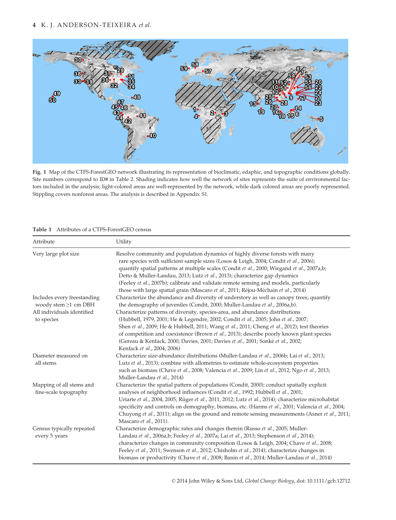

Fig. 1 Map of the CTFS-ForestGEO network illustrating its representation of bioclimatic, edaphic, and topographic conditions globally. Site numbers correspond to ID# in Table 2. Shading indicates how well the network of sites represents the suite of environmental factors included in the analysis; light-colored areas are well-represented by the network, while dark colored areas are poorly represented. Stippling covers nonforest areas. The analysis is described in Appendix S1.

| Attribute                                           | Utility                                                                                                                                                                                                                                                                                                                                                                                                                                                                                                                            |
|-----------------------------------------------------|------------------------------------------------------------------------------------------------------------------------------------------------------------------------------------------------------------------------------------------------------------------------------------------------------------------------------------------------------------------------------------------------------------------------------------------------------------------------------------------------------------------------------------|
| Very large plot size                                | Resolve community and population dynamics of highly diverse forests with many<br>rare species with sufficient sample sizes (Losos & Leigh, 2004; Condit et al., 2006);<br>quantify spatial patterns at multiple scales (Condit et al., 2000; Wiegand et al., 2007a,b;<br>Detto & Muller-Landau, 2013; Lutz et al., 2013); characterize gap dynamics<br>(Feeley et al., 2007b); calibrate and validate remote sensing and models, particularly<br>those with large spatial grain (Mascaro et al., 2011; Réjou-Méchain et al., 2014) |
| Includes every freestanding<br>woody stem ≥1 cm DBH | Characterize the abundance and diversity of understory as well as canopy trees; quantify<br>the demography of juveniles (Condit, 2000; Muller-Landau et al., 2006a,b).                                                                                                                                                                                                                                                                                                                                                             |
| All individuals identified<br>to species            | Characterize patterns of diversity, species-area, and abundance distributions<br>(Hubbell, 1979, 2001; He & Legendre, 2002; Condit et al., 2005; John et al., 2007;<br>Shen et al., 2009; He & Hubbell, 2011; Wang et al., 2011; Cheng et al., 2012); test theories<br>of competition and coexistence (Brown et al., 2013); describe poorly known plant species<br>(Gereau & Kenfack, 2000; Davies, 2001; Davies et al., 2001; Sonké et al., 2002;<br>Kenfack et al., 2004, 2006)                                                  |
| Diameter measured on<br>all stems                   | Characterize size-abundance distributions (Muller-Landau et al., 2006b; Lai et al., 2013;<br>Lutz et al., 2013); combine with allometries to estimate whole-ecosystem properties<br>such as biomass (Chave et al., 2008; Valencia et al., 2009; Lin et al., 2012; Ngo et al., 2013;<br>Muller-Landau et al., 2014)                                                                                                                                                                                                                 |
| Mapping of all stems and<br>fine-scale topography   | Characterize the spatial pattern of populations (Condit, 2000); conduct spatially explicit<br>analyses of neighborhood influences (Condit et al., 1992; Hubbell et al., 2001;<br>Uriarte et al., 2004, 2005; Rüger et al., 2011, 2012; Lutz et al., 2014); characterize microhabitat<br>specificity and controls on demography, biomass, etc. (Harms et al., 2001; Valencia et al., 2004;<br>Chuyong et al., 2011); align on the ground and remote sensing measurements (Asner et al., 2011;<br>Mascaro et al., 2011).             |
| Census typically repeated<br>every 5 years          | Characterize demographic rates and changes therein (Russo et al., 2005; Muller-<br>Landau et al., 2006a,b; Feeley et al., 2007a; Lai et al., 2013; Stephenson et al., 2014);<br>characterize changes in community composition (Losos & Leigh, 2004; Chave et al., 2008;<br>Feeley et al., 2011; Swenson et al., 2012; Chisholm et al., 2014); characterize changes in<br>biomass or productivity (Chave et al., 2008; Banin et al., 2014; Muller-Landau et al., 2014)                                                              |

#### Table 1 Attributes of a CTFS-ForestGEO census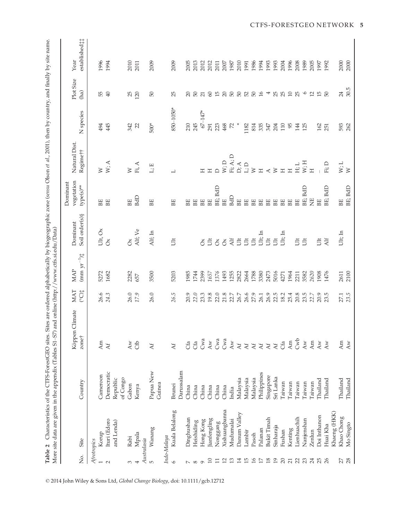| content and thally has an anno<br>$\frac{1}{2}$<br>$\frac{1}{2}$<br>An An An Av<br>$\sim 1$<br>; ; ; ; ; ;<br>$\frac{1}{2}$<br>ć<br>, protected<br><b>THE ATT ATTACACCE</b><br>֧֦֧֦֧֦֧֦֧֦֧֦֧֦֧֦֧֦֧֦֧֦֧֦֧֧֧֧֝֜֜֜<br>֧֚֝<br>į<br>es. Sites are ordered al<br>$\frac{1}{5}$ | ر<br>داره<br>֧֦֦֦֦֦֦֦֦֦֦֦֦֦֦֦֦֦֦֦֦֦֦֧֦֧֦֧֦֧֦֧֦֧֦֧֦֧֛֦֧֦֧֝֝֝֝֝֝֝֝֝֝֝֝֝֝֝֬֝֝֝֟֝֟֝֟֝֟֝֟֝֝֝֝֟֝֝֝֬֝֝֝֝֝֝֟֝֝֟֝<br>֧֧֦֧֧֪֦֧֧֪֦֧֦֧֪֦֧֦֧֚֝֝֝֬֝֝֬֝֝֝<br>$\frac{1}{\sqrt{2}}$<br>$\overline{\phantom{a}}$<br>$ST$ ) and online (http://www.<br>)<br>)<br>)<br>)<br>) |
|--------------------------------------------------------------------------------------------------------------------------------------------------------------------------------------------------------------------------------------------------------------------------|-----------------------------------------------------------------------------------------------------------------------------------------------------------------------------------------------------------------------------------------------------------|
|                                                                                                                                                                                                                                                                          | ļ                                                                                                                                                                                                                                                         |
| はくしょく                                                                                                                                                                                                                                                                    | .<br>!                                                                                                                                                                                                                                                    |
| $-$<br>i                                                                                                                                                                                                                                                                 |                                                                                                                                                                                                                                                           |
|                                                                                                                                                                                                                                                                          |                                                                                                                                                                                                                                                           |

| δ.                       | Site               | Country     | Climate<br>Köppen<br>zone†        | $\begin{array}{c} \mathtt{MAX} \\ \mathtt{P} \end{array}$ | $\mbox{(mm yr}^{-1})^{\ast}_{\uparrow}$<br>$\ensuremath{\mathsf{MAP}}$ | Soil order(s) §<br>Dominant | vegetation<br>Dominant<br>type(s)** | Natural Dist<br>Regimett                 | N species              | Plot Size<br>(ha)                       | established <sub>#</sub><br>Year |
|--------------------------|--------------------|-------------|-----------------------------------|-----------------------------------------------------------|------------------------------------------------------------------------|-----------------------------|-------------------------------------|------------------------------------------|------------------------|-----------------------------------------|----------------------------------|
|                          |                    |             |                                   |                                                           |                                                                        |                             |                                     |                                          |                        |                                         |                                  |
|                          | Afrotropics        |             |                                   |                                                           |                                                                        |                             |                                     |                                          |                        |                                         |                                  |
|                          | Korup              | Cameroon    | Am                                | 26.6<br>24.3                                              | 5272                                                                   | Ult, Ox                     | BE                                  | $\begin{array}{c} W \\ W; A \end{array}$ | 494                    | <b>B</b> 8                              | 1996                             |
| $\sim$                   | Ituri (Edoro       | Democratic  | $\Delta f$                        |                                                           | 1682                                                                   | $\delta$                    | BE                                  |                                          | 445                    |                                         | 1994                             |
|                          | and Lenda)         | Republic    |                                   |                                                           |                                                                        |                             |                                     |                                          |                        |                                         |                                  |
|                          |                    | of Congo    |                                   |                                                           |                                                                        |                             |                                     |                                          |                        |                                         |                                  |
| 3                        | Rabi               | Gabon       | $\overline{\mathbf{A}\mathbf{w}}$ | 26.0<br>17.9                                              | 2282                                                                   | $\delta$                    | BE                                  |                                          | 342                    | 25                                      | 2010                             |
| 4                        | Mpala              | Kenya       | Cfb                               |                                                           | 657                                                                    | Alf; Ve                     | BdD                                 | $\mathbb W$ . A $\mathbb H,$ A           | 22                     |                                         | 2011                             |
|                          | Australasia        |             |                                   |                                                           |                                                                        |                             |                                     |                                          |                        |                                         |                                  |
| $\mathsf{L}\cap$         | Wanang             | Papua New   | $A$ f                             | 26.0                                                      | 3500                                                                   | Alf; In                     | BE                                  | $L;E$                                    | $500*$                 | 50                                      | 2009                             |
|                          |                    | Guinea      |                                   |                                                           |                                                                        |                             |                                     |                                          |                        |                                         |                                  |
|                          | Indo-Malaya        |             |                                   |                                                           |                                                                        |                             |                                     |                                          |                        |                                         |                                  |
| $\circ$                  | Kuala Belalong     | Brunei      | $\Delta f$                        | 26.5                                                      | 5203                                                                   | Ë                           | BE                                  | $\overline{\phantom{0}}$                 | 850-1050*              | 25                                      | 2009                             |
|                          |                    | Darussalam  |                                   |                                                           |                                                                        |                             |                                     |                                          |                        |                                         |                                  |
| $\overline{\phantom{a}}$ | Dinghushan         | China       | Cfa                               | 20.9                                                      | 1985                                                                   |                             | BE                                  |                                          | 210                    |                                         | 2005                             |
| $\infty$                 | Heishiding         | China       | Cfa                               | 22.0                                                      | 1744                                                                   |                             | BE                                  |                                          | 245                    | ສ ສ                                     | 2013                             |
| $\sigma$                 | Hong Kong          | China       | Cwa                               | 23.3                                                      | 2399                                                                   | $\delta$                    | BE                                  | $\mathbb{H}$                             | $67 - 147*$            | $\overline{\Omega}$                     | 2012                             |
| 10                       | lianfengling       | China       | $\overline{A}$ w                  | 19.8                                                      | 1657                                                                   |                             | BE                                  | Η                                        | 291                    | $\infty$                                | 2012                             |
| $\Xi$                    | Nonggang           | China       | Cwa                               | 22.0                                                      | 1376                                                                   | $\bar{5} \delta \delta$     | BE; BdD                             | $\Box$                                   | 223                    |                                         | 2011                             |
| 12                       | Xishuangbanna      | China       | Cwa                               | 21.8                                                      | 1493                                                                   |                             | BE                                  | W; D                                     | 468                    |                                         | 2007                             |
| $13\,$                   | Mudumalai          | India       | $\overline{A}$ w                  | 22.7                                                      | 1255                                                                   | $\mathop{\rm Alf}\nolimits$ | BdD                                 | $\mathrm{Fi};\mathrm{A};\mathrm{D}$      | $\mathbb{Z}$           |                                         | 1987                             |
| 14                       | Danum Valley       | Malaysia    | $A$ f                             | 26.7                                                      | 2822                                                                   | $\tilde{\Xi}$               | BE                                  | $\mathbf{D};\mathbf{A}$                  | $^{\star}$             | 536888                                  | 2010                             |
| 15                       | Lambir             | Malaysia    | $\Delta f$                        | 26.6                                                      | 2664                                                                   | $\ddot{5}$                  | BE                                  | $\mathbb{L};\mathbb{D}$                  | 1182                   |                                         | 1991                             |
| 16                       | Pasoh              | Malaysia    | $\Delta f$                        | 27.9                                                      | 1788                                                                   | $\overline{5}$              | BE                                  | $\geq$                                   | 814                    |                                         | 1986                             |
| 17                       | Palanan            | Philippines | $\lambda f$                       | 26.1                                                      | 3380                                                                   | Ult; In                     | BE                                  | $\mathbbmss{}$                           | 335<br>347             | $\mathfrak{g}$                          | 1994                             |
| 18                       | <b>Bukit Timah</b> | Singapore   | $\lambda f$                       | 26.9                                                      | 2473                                                                   | $\overline{5}$              | BE                                  | $\prec$                                  |                        | $\overline{a}$                          | 1993                             |
| 19                       | Sinharaja          | Sri Lanka   | $\rm{A}f$                         | 22.5                                                      | 5016                                                                   | $\overline{5}$              | BE                                  | $\gtrsim$                                | 204                    | <b>25</b><br>25                         | 1993                             |
| 20                       | Fushan             | Taiwan      | Cfa                               | 18.2                                                      | 4271                                                                   | Ult; In                     | BE                                  | $\Xi$                                    | $119$<br>$54$<br>$125$ |                                         | 2004                             |
| $\overline{21}$          | Kenting            | Taiwan      | Am                                | 25.4                                                      | 1964                                                                   |                             | BE                                  | $\Xi$                                    |                        | $\Box$                                  | 1996                             |
| 22                       | Lienhuachih        | Taiwan      | Cwb                               | 20.8                                                      | 2211                                                                   | $\vec{D}$                   | BE                                  | H; L                                     |                        | 25                                      | 2008                             |
| 23                       | Nanjenshan         | Taiwan      | $\overline{A}$ w                  | 23.5                                                      | 3582                                                                   | $\ddot{5}$                  | BE; BdD                             | W; H                                     |                        | $\circ$                                 | 1989                             |
| 24                       | Zenlun             | Taiwan      | Am                                | 22.7                                                      | 2620                                                                   |                             | Ë                                   | $\Xi$                                    |                        | $\begin{array}{c} 25 \\ 25 \end{array}$ | 2005                             |
| 25                       | Doi Inthanon       | Thailand    | $\overline{\text{Aw}}$            | 20.9<br>23.5                                              | 1908                                                                   | Ë                           | BE                                  |                                          | 162                    |                                         | 1997                             |
|                          | Huai Kha           | Thailand    | $\overline{A}$ w                  |                                                           | 1476                                                                   | Alf                         | BE; BdD                             | $\mathrm{Fi};\mathrm{D}$                 | 251                    |                                         | 1992                             |
|                          | Khaeng (HKK)       |             |                                   |                                                           |                                                                        |                             |                                     |                                          |                        |                                         |                                  |
| 27                       | Khao Chong         | Thailand    | Am                                | 27.1                                                      | 2611                                                                   | Ult; In                     | BE                                  | W; L                                     | 593                    | 24                                      | 2000                             |
| 28                       | Mo Singto          | Thailand    | Aw                                | 23.5                                                      | 2100                                                                   |                             | BE; BdD                             | $\geq$                                   | 262                    | 30.5                                    | 2000                             |
|                          |                    |             |                                   |                                                           |                                                                        |                             |                                     |                                          |                        |                                         |                                  |

© 2014 John Wiley & Sons Ltd, Global Change Biology, doi: 10.1111/gcb.12712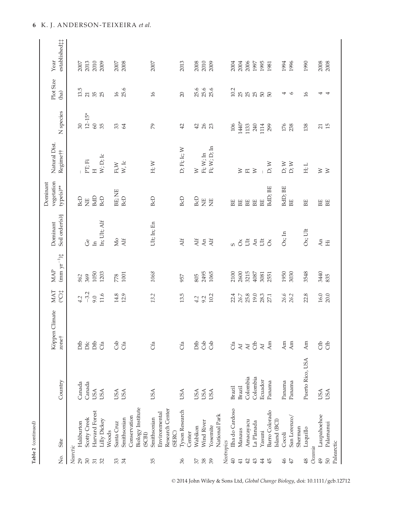| ı |
|---|
|   |
|   |

| δ.              | Site                        | Country          | Köppen Climate<br>zone† | <b>MAT</b><br>(°C) | $(mm \ yr^{-1})^{\ast}_{\ast}$<br>MAP | Soil order(s) §<br>Dominant | vegetation<br>Dominant<br>type(s)** | Natural Dist.<br>Regimett  | N species                   | Plot Size<br>(ha)        | established <sup>†</sup><br>Year |
|-----------------|-----------------------------|------------------|-------------------------|--------------------|---------------------------------------|-----------------------------|-------------------------------------|----------------------------|-----------------------------|--------------------------|----------------------------------|
| Nearctic        |                             |                  |                         |                    |                                       |                             |                                     |                            |                             |                          |                                  |
| 29              | Haliburton                  | Canada           | Dfb                     | 4.2                | 962                                   |                             | <b>BcD</b>                          |                            | 30                          | 13.5                     | 2007                             |
| $30\,$          | Scotty Creek                | Canada           | Dfc                     | $-3.2$             | 369                                   | ර්                          | Ë                                   | PT; Fi                     | $12 - 15*$                  | 21                       | 2013                             |
| $\overline{31}$ | Harvard Forest              | <b>USA</b>       | Dfb                     | 9.0                | 1050                                  | $\overline{\mathbf{u}}$     | BdD                                 | $\overline{H}$             | $60\,$                      | 35                       | 2010                             |
| 32              | Lilly Dickey                | <b>USA</b>       | Cfa                     | 11.6               | 1203                                  | In; Ult; Alf                | <b>BcD</b>                          | W; D; Ic                   | 35                          | 25                       | 2009                             |
|                 | Woods                       |                  |                         |                    |                                       |                             |                                     |                            |                             |                          |                                  |
| 33              | Santa Cruz                  | <b>USA</b>       | Csb                     | 14.8               | 778                                   | Мо                          | BE; NE                              | $\rm{Fi}$ W                | 33                          | 16                       | 2007                             |
| 34              | Smithsonian                 | <b>USA</b>       | Cfa                     | 12.9               | 1001                                  | Alf                         | <b>BcD</b>                          | W, Ic                      | 64                          | 25.6                     | 2008                             |
|                 | Conservation                |                  |                         |                    |                                       |                             |                                     |                            |                             |                          |                                  |
|                 | Biology Institute<br>(SCBI) |                  |                         |                    |                                       |                             |                                     |                            |                             |                          |                                  |
| 35              | Smithsonian                 | USA              | Cfa                     | 13.2               | 1068                                  | Ult; In; En                 | <b>BcD</b>                          | H; W                       | $\mathcal{P}^{\mathcal{S}}$ | 16                       | 2007                             |
|                 | Environmental               |                  |                         |                    |                                       |                             |                                     |                            |                             |                          |                                  |
|                 | Research Center             |                  |                         |                    |                                       |                             |                                     |                            |                             |                          |                                  |
|                 | (SERC)                      |                  |                         |                    |                                       |                             |                                     |                            |                             |                          |                                  |
| 36              | <b>Tyson Research</b>       | USA              | Cfa                     | 13.5               | 957                                   | Alf                         | BcD                                 | D; Fi; Ic; W               | 42                          | 20                       | 2013                             |
|                 | Center                      |                  |                         |                    |                                       |                             |                                     |                            |                             |                          |                                  |
| 57              | Wabikon                     | USA              | Dfb                     | 4.2                | 805                                   | Alf                         | <b>BcD</b>                          | $\geq$                     | 42                          | 25.6                     | 2008                             |
| $38$            | Wind River                  | <b>USA</b>       | Csb                     | 9.2                | 2495                                  | An                          | $\overline{E}$                      | Fi; W; In                  | 26                          | 25.6                     | 2010                             |
| 39              | Yosemite                    | USA              | Csb                     | 10.2               | 1065                                  | Alf                         | Ë                                   | Fi; W; D; In               |                             | 25.6                     | 2009                             |
|                 | National Park               |                  |                         |                    |                                       |                             |                                     |                            |                             |                          |                                  |
|                 | Neotropics                  |                  |                         |                    |                                       |                             |                                     |                            |                             |                          |                                  |
| $\overline{40}$ | Ilha do Cardoso             | Brazil           | Сfa                     | 22.4               | 2100                                  | S.                          | BE                                  |                            | 106                         | 10.2                     | 2004                             |
| $\overline{41}$ | Manaus                      | Brazil           | $\mathbf{A} \mathbf{f}$ | 26.7               | 2600                                  | $\delta$                    | BE                                  | $\geq$                     | 1440*                       | 25                       | 2004                             |
| 42              | Amacayacu                   | Colombia         | $\mathbf{A} \mathbf{f}$ | 25.8               | 3215                                  | $\tilde{\Xi}$               | BE                                  | $E \ge$                    | 1133                        | 2500                     | 2006                             |
| $\frac{43}{5}$  | La Planada                  | Colombia         | Cfb                     | 19.0               | 4087                                  | An                          | BE                                  |                            | 240                         |                          | 1997                             |
| 44              | Yasuni                      | Ecuador          | $\Delta f$              | 28.3               | 3081                                  | $\ddot{\Xi}$                | BE <sub></sub>                      |                            | 1114                        |                          | 1995                             |
| 45              | Barro Colorado              | Panama           | $\mathop{\mathrm{Am}}$  | 27.1               | 2551                                  | $\delta$                    | BdD; BE                             | D; W                       | 299                         | 50                       | 1981                             |
|                 | Island (BCI)                |                  |                         |                    |                                       |                             |                                     |                            |                             |                          |                                  |
| 46              | Cocoli                      | Panama           | Am                      | 26.6               | 1950                                  | $Ox$ ; In                   | BdD; BE                             | D; W                       | 176                         | 4                        | 1994                             |
| $47\,$          | San Lorenzo/                | Panama           | Am                      | 26.2               | 3030                                  |                             | BE                                  | $\mathbf{D};$ $\mathbf{W}$ | 238                         | $\circ$                  | 1996                             |
|                 | Sherman                     |                  |                         |                    |                                       |                             |                                     |                            |                             |                          |                                  |
| 48              | Luquillo                    | Puerto Rico, USA | Am                      | 22.8               | 3548                                  | $Ox$ ; Ult                  | BE                                  | H; L                       | 138                         | 16                       | 1990                             |
| Oceania         |                             |                  |                         |                    |                                       |                             |                                     |                            |                             |                          |                                  |
| 49              | Laupahoehoe                 | <b>USA</b>       | Cfb                     | 16.0               | 3440                                  | An                          | BE                                  | $\geq$ $\geq$              | 21                          | 4                        | 2008                             |
| 50              | Palamanui                   | <b>USA</b>       | Cfb                     | 20.0               | 835                                   | Ë                           | BE                                  |                            | 15                          | $\overline{\phantom{a}}$ | 2008                             |
|                 | Palearctic                  |                  |                         |                    |                                       |                             |                                     |                            |                             |                          |                                  |

© 2014 John Wiley & Sons Ltd, Global Change Biology, doi: 10.1111/gcb.12712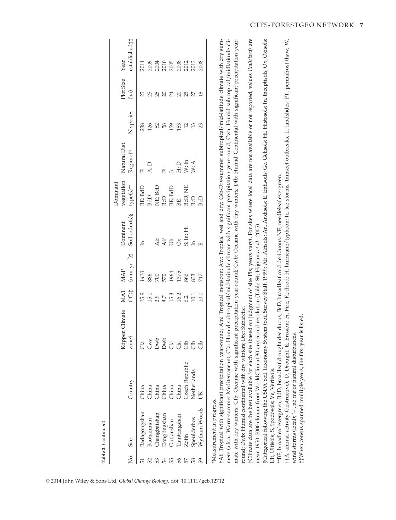|    | No. Site                  | Country                                                                | Climate<br>Köppen (<br>zone | $\begin{array}{l} \tt{MAT} \\ \tt{(}C) \ddagger \end{array}$                                         | $\begin{array}{c} \text{MAP} \\ \text{(mm yr}^{-1})\ddagger \end{array}$ | Soil order(s) §<br>Dominant                               | regetation<br>Dominant<br>$type(s)$ **                                                                                                                                                                                                                                                                                                                                                                                                                                                                                                           | Natural Dist<br>Regimett                                            | N species           | Plot Size<br>(ha) | established:<br>Year                                                                                                                                                                                                                                                                                          |
|----|---------------------------|------------------------------------------------------------------------|-----------------------------|------------------------------------------------------------------------------------------------------|--------------------------------------------------------------------------|-----------------------------------------------------------|--------------------------------------------------------------------------------------------------------------------------------------------------------------------------------------------------------------------------------------------------------------------------------------------------------------------------------------------------------------------------------------------------------------------------------------------------------------------------------------------------------------------------------------------------|---------------------------------------------------------------------|---------------------|-------------------|---------------------------------------------------------------------------------------------------------------------------------------------------------------------------------------------------------------------------------------------------------------------------------------------------------------|
|    | Badagongshan              | China                                                                  | Cfa                         |                                                                                                      |                                                                          | $\mathbf{H}$                                              |                                                                                                                                                                                                                                                                                                                                                                                                                                                                                                                                                  |                                                                     |                     |                   |                                                                                                                                                                                                                                                                                                               |
|    | <b>Baotianman</b>         |                                                                        |                             | $\begin{array}{c} 15.9 \\ 15.1 \\ 2.9 \\ 4.7 \\ 15.3 \\ 16.2 \\ 10.1 \\ 10.0 \\ 10.0 \\ \end{array}$ | 1410<br>886<br>570 1964<br>1375<br>883 217                               |                                                           | $\begin{array}{l} \mathop{\mathrm{B}\mathrm{E}}\nolimits; \mathop{\mathrm{B}\mathrm{d}\mathrm{D}}\nolimits\\ \mathop{\mathrm{B}\mathrm{d}\mathrm{D}}\nolimits\\ \mathop{\mathrm{N}\mathrm{E}}\nolimits; \mathop{\mathrm{B}\mathrm{d}\mathrm{D}}\nolimits\\ \mathop{\mathrm{B}\mathrm{E}}\nolimits; \mathop{\mathrm{B}\mathrm{d}\mathrm{D}}\nolimits\\ \mathop{\mathrm{B}\mathrm{E}}\nolimits; \mathop{\mathrm{N}\mathrm{d}\mathrm{D}}\nolimits\\ \mathop{\mathrm{B}\mathrm{d}\mathrm{D}}\nolimits\\ \mathop{\mathrm{B}\mathrm{d}\mathrm{D}}\nol$ | $\begin{array}{l} \mathbb{H} \\ \mathbb{A}; \mathbb{D} \end{array}$ | ន្លង្គ និដ្ឋ ដូច ដូ | 888838888         | $\begin{array}{l} 2011 \\ 2008 \\ 2010 \\ 2010 \\ 2005 \\ 2008 \\ 2011 \\ 2013 \\ 2008 \\ 2013 \\ 2008 \\ 2008 \\ 2008 \\ 2008 \\ 2008 \\ 2008 \\ 2008 \\ 2008 \\ 2008 \\ 2008 \\ 2009 \\ 2009 \\ 2009 \\ 2009 \\ 2009 \\ 2009 \\ 2009 \\ 2009 \\ 2009 \\ 2009 \\ 2009 \\ 2009 \\ 2009 \\ 2009 \\ 2009 \\ 20$ |
| S  | <b>hangbaishan</b>        | $\begin{tabular}{l} China \\ China \\ China \\ China \\ \end{tabular}$ | Cwa<br>Dwb<br>Cfa<br>Cfa    |                                                                                                      |                                                                          |                                                           |                                                                                                                                                                                                                                                                                                                                                                                                                                                                                                                                                  |                                                                     |                     |                   |                                                                                                                                                                                                                                                                                                               |
| 54 | Oonglingshan              |                                                                        |                             |                                                                                                      |                                                                          |                                                           |                                                                                                                                                                                                                                                                                                                                                                                                                                                                                                                                                  |                                                                     |                     |                   |                                                                                                                                                                                                                                                                                                               |
|    | Gutianshan                |                                                                        |                             |                                                                                                      |                                                                          |                                                           |                                                                                                                                                                                                                                                                                                                                                                                                                                                                                                                                                  |                                                                     |                     |                   |                                                                                                                                                                                                                                                                                                               |
| 56 | Tiantongshan              |                                                                        |                             |                                                                                                      |                                                                          | Ali<br>Ali<br>C<br>S<br>S<br>Lin; Hi<br>S<br>S<br>Lin; Hi |                                                                                                                                                                                                                                                                                                                                                                                                                                                                                                                                                  | Fi<br>L L D<br>W, L<br>W, A                                         |                     |                   |                                                                                                                                                                                                                                                                                                               |
| 52 | Zofin                     | Czech Republic                                                         | <b>c</b> fo                 |                                                                                                      |                                                                          |                                                           |                                                                                                                                                                                                                                                                                                                                                                                                                                                                                                                                                  |                                                                     |                     |                   |                                                                                                                                                                                                                                                                                                               |
| 58 | Speulderbos               | <b>Netherlands</b>                                                     | <b>cfb</b>                  |                                                                                                      |                                                                          | <u>អ</u>                                                  |                                                                                                                                                                                                                                                                                                                                                                                                                                                                                                                                                  |                                                                     |                     |                   |                                                                                                                                                                                                                                                                                                               |
| 59 | Wytham Woods              |                                                                        | යි<br>ට                     |                                                                                                      |                                                                          |                                                           |                                                                                                                                                                                                                                                                                                                                                                                                                                                                                                                                                  |                                                                     |                     |                   |                                                                                                                                                                                                                                                                                                               |
|    | *Measurement in progress. |                                                                        |                             |                                                                                                      |                                                                          |                                                           |                                                                                                                                                                                                                                                                                                                                                                                                                                                                                                                                                  |                                                                     |                     |                   |                                                                                                                                                                                                                                                                                                               |

\*Measurement in progress.

A. Tropical with significant precipitation year-round; Am: Tropical monsoon; Aw: Tropical wet and dry; Csb-Dry-summer subtropical/mid-latitude climate with dry summers (a.k.a.: Warm-summer Mediterranean); Cfa: Humid subtropical/mid-latitude climate with significant precipitation year-round; Cwa: Humid subtropical/midlatitude climate with dry winters; Cfb: Oceanic with significant precipitation year-round; Cwb: Oceanic with dry winters; Dfb: Humid Continental with significant precipitation year-†Af: Tropical with significant precipitation year-round; Am: Tropical monsoon; Aw: Tropical wet and dry; Csb-Dry-summer subtropical/mid-latitude climate with dry summers (a.k.a.: Warm-summer Mediterranean); Cfa: Humid subtropical/mid-latitude climate with significant precipitation year-round; Cwa: Humid subtropical/midlatitude climate with dry winters; Cfb: Oceanic with significant precipitation year-round; Cwb: Oceanic with dry winters; Dfb: Humid Continental with significant precipitation yearround; Dwb: Humid continental with dry winters; Dfc: Subarctic. round; Dwb: Humid continental with dry winters; Dfc: Subarctic.

(Climate data are the best available for each site (based on judgment of site Pls; years vary). For sites where local data are not available or not reported, values (italicized) are ‡Climate data are the best available for each site (based on judgment of site PIs; years vary). For sites where local data are not available or not reported, values (italicized) are mean 1950-2000 climate from WorldClim at 30 arcsecond resolution (Table S4; Hijmans et al., 2005). mean 1950–2000 climate from WorldClim at 30 arcsecond resolution (Table S4; Hijmans et al., 2005).

§Categorical following the USDA Soil Taxonomy System (Soil Survey Staff, 1999): Alf, Alfisols; An, Andisols; E, Entisoils; Ge, Gelisols; Hi, Histosols; In, Inceptisols; Ox, Oxisols; §Categorical following the USDA Soil Taxonomy System (Soil Survey Staff, 1999): Alf, Alfisols; An, Andisols; E, Entisoils; Ge, Gelisols; Hi, Histosols; In, Inceptisols; Ox, Oxisols; Ult, Ultisols; S, Spodosols; Ve, Vertisols. Ult, Ultisols; S, Spodosols; Ve, Vertisols.

\*\*BE, broadleaf evergreen; BdD, broadleaf drought deciduous; BcD, broadleaf cold deciduous; NE, needleleaf evergreen. \*\*BE, broadleaf evergreen; BdD, broadleaf drought deciduous; BcD, broadleaf cold deciduous; NE, needleleaf evergreen.

††A, animal activity (destructive); D, Drought; E, Erosion; Fi, Fire; Fl, flood; H, hurricane/typhoon; Ic, Ice storms; Ininsect outbreaks; L, landslides; PT, permafrost thaw; W, ††A, animal activity (destructive); D, Drought; E, Erosion; Fi, Fire; Fl, flood; H, hurricane/typhoon; Ic, Ice storms; Ininsect outbreaks; L, landslides; PT, permafrost thaw; W, wind storms (local);  $\prime\prime$ , no major natural disturbances. wind storms (local); '–', no major natural disturbances.

t#When census spanned multiple years, the first year is listed. ‡‡When census spanned multiple years, the first year is listed.

© 2014 John Wiley & Sons Ltd, Global Change Biology, doi: 10.1111/gcb.12712

Table 2 (continued)

Table 2 (continued)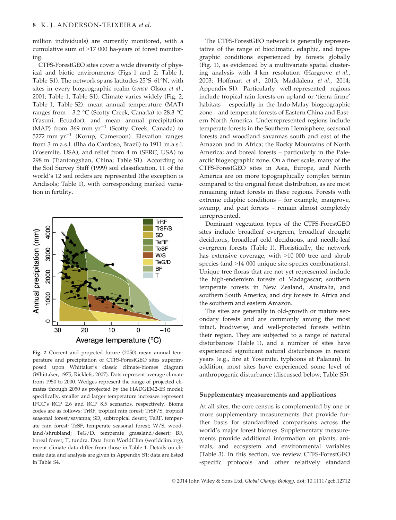million individuals) are currently monitored, with a cumulative sum of >17 000 ha-years of forest monitoring.

CTFS-ForestGEO sites cover a wide diversity of physical and biotic environments (Figs 1 and 2; Table 1, Table S1). The network spans latitudes 25°S–61°N, with sites in every biogeographic realm (sensu Olson et al., 2001; Table 1, Table S1). Climate varies widely (Fig. 2; Table 1, Table S2): mean annual temperature (MAT) ranges from  $-3.2$  °C (Scotty Creek, Canada) to 28.3 °C (Yasuni, Ecuador), and mean annual precipitation (MAP) from 369 mm  $yr^{-1}$  (Scotty Creek, Canada) to 5272 mm  $yr^{-1}$  (Korup, Cameroon). Elevation ranges from 3 m.a.s.l. (Ilha do Cardoso, Brazil) to 1911 m.a.s.l. (Yosemite, USA), and relief from 4 m (SERC, USA) to 298 m (Tiantongshan, China; Table S1). According to the Soil Survey Staff (1999) soil classification, 11 of the world's 12 soil orders are represented (the exception is Aridisols; Table 1), with corresponding marked variation in fertility.



Fig. 2 Current and projected future (2050) mean annual temperature and precipitation of CTFS-ForestGEO sites superimposed upon Whittaker's classic climate-biomes diagram (Whittaker, 1975; Ricklefs, 2007). Dots represent average climate from 1950 to 2000. Wedges represent the range of projected climates through 2050 as projected by the HADGEM2-ES model; specifically, smaller and larger temperature increases represent IPCC's RCP 2.6 and RCP 8.5 scenarios, respectively. Biome codes are as follows: TrRF, tropical rain forest; TrSF/S, tropical seasonal forest/savanna; SD, subtropical desert; TeRF, temperate rain forest; TeSF, temperate seasonal forest; W/S, woodland/shrubland; TeG/D, temperate grassland/desert; BF, boreal forest; T, tundra. Data from WorldClim (worldclim.org); recent climate data differ from those in Table 1. Details on climate data and analysis are given in Appendix S1; data are listed in Table S4.

The CTFS-ForestGEO network is generally representative of the range of bioclimatic, edaphic, and topographic conditions experienced by forests globally (Fig. 1), as evidenced by a multivariate spatial clustering analysis with 4 km resolution (Hargrove et al., 2003; Hoffman et al., 2013; Maddalena et al., 2014; Appendix S1). Particularly well-represented regions include tropical rain forests on upland or 'tierra firme' habitats – especially in the Indo-Malay biogeographic zone – and temperate forests of Eastern China and Eastern North America. Underrepresented regions include temperate forests in the Southern Hemisphere; seasonal forests and woodland savannas south and east of the Amazon and in Africa; the Rocky Mountains of North America; and boreal forests – particularly in the Palearctic biogeographic zone. On a finer scale, many of the CTFS-ForestGEO sites in Asia, Europe, and North America are on more topographically complex terrain compared to the original forest distribution, as are most remaining intact forests in these regions. Forests with extreme edaphic conditions – for example, mangrove, swamp, and peat forests – remain almost completely unrepresented.

Dominant vegetation types of the CTFS-ForestGEO sites include broadleaf evergreen, broadleaf drought deciduous, broadleaf cold deciduous, and needle-leaf evergreen forests (Table 1). Floristically, the network has extensive coverage, with >10 000 tree and shrub species (and >14 000 unique site-species combinations). Unique tree floras that are not yet represented include the high-endemism forests of Madagascar; southern temperate forests in New Zealand, Australia, and southern South America; and dry forests in Africa and the southern and eastern Amazon.

The sites are generally in old-growth or mature secondary forests and are commonly among the most intact, biodiverse, and well-protected forests within their region. They are subjected to a range of natural disturbances (Table 1), and a number of sites have experienced significant natural disturbances in recent years (e.g., fire at Yosemite, typhoons at Palanan). In addition, most sites have experienced some level of anthropogenic disturbance (discussed below; Table S5).

#### Supplementary measurements and applications

At all sites, the core census is complemented by one or more supplementary measurements that provide further basis for standardized comparisons across the world's major forest biomes. Supplementary measurements provide additional information on plants, animals, and ecosystem and environmental variables (Table 3). In this section, we review CTFS-ForestGEO -specific protocols and other relatively standard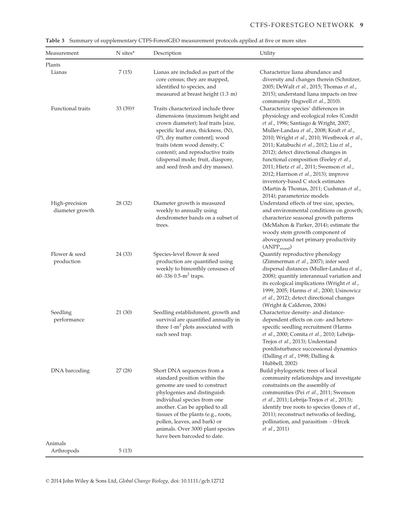| Measurement                       | N sites*   | Description                                                                                                                                                                                                                                                                                                                          | Utility                                                                                                                                                                                                                                                                                                                                                                                                                                                                                                                                                   |
|-----------------------------------|------------|--------------------------------------------------------------------------------------------------------------------------------------------------------------------------------------------------------------------------------------------------------------------------------------------------------------------------------------|-----------------------------------------------------------------------------------------------------------------------------------------------------------------------------------------------------------------------------------------------------------------------------------------------------------------------------------------------------------------------------------------------------------------------------------------------------------------------------------------------------------------------------------------------------------|
| Plants                            |            |                                                                                                                                                                                                                                                                                                                                      |                                                                                                                                                                                                                                                                                                                                                                                                                                                                                                                                                           |
| Lianas                            | 7(15)      | Lianas are included as part of the<br>core census; they are mapped,<br>identified to species, and<br>measured at breast height (1.3 m)                                                                                                                                                                                               | Characterize liana abundance and<br>diversity and changes therein (Schnitzer,<br>2005; DeWalt et al., 2015; Thomas et al.,<br>2015); understand liana impacts on tree<br>community (Ingwell et al., 2010).                                                                                                                                                                                                                                                                                                                                                |
| Functional traits                 | $33(39)$ † | Traits characterized include three<br>dimensions (maximum height and<br>crown diameter); leaf traits [size,<br>specific leaf area, thickness, (N),<br>(P), dry matter content]; wood<br>traits (stem wood density, C<br>content); and reproductive traits<br>(dispersal mode; fruit, diaspore,<br>and seed fresh and dry masses).    | Characterize species' differences in<br>physiology and ecological roles (Condit<br>et al., 1996; Santiago & Wright, 2007;<br>Muller-Landau et al., 2008; Kraft et al.,<br>2010; Wright et al., 2010; Westbrook et al.,<br>2011; Katabuchi et al., 2012; Liu et al.,<br>2012); detect directional changes in<br>functional composition (Feeley et al.,<br>2011; Hietz et al., 2011; Swenson et al.,<br>2012; Harrison et al., 2013); improve<br>inventory-based C stock estimates<br>(Martin & Thomas, 2011; Cushman et al.,<br>2014); parameterize models |
| High-precision<br>diameter growth | 28 (32)    | Diameter growth is measured<br>weekly to annually using<br>dendrometer bands on a subset of<br>trees.                                                                                                                                                                                                                                | Understand effects of tree size, species,<br>and environmental conditions on growth;<br>characterize seasonal growth patterns<br>(McMahon & Parker, 2014); estimate the<br>woody stem growth component of<br>aboveground net primary productivity<br>$(ANPP_{wood})$                                                                                                                                                                                                                                                                                      |
| Flower & seed<br>production       | 24 (33)    | Species-level flower & seed<br>production are quantified using<br>weekly to bimonthly censuses of<br>60-336 0.5-m <sup>2</sup> traps.                                                                                                                                                                                                | Quantify reproductive phenology<br>(Zimmerman et al., 2007); infer seed<br>dispersal distances (Muller-Landau et al.,<br>2008); quantify interannual variation and<br>its ecological implications (Wright et al.,<br>1999, 2005; Harms et al., 2000; Usinowicz<br>et al., 2012); detect directional changes<br>(Wright & Calderon, 2006)                                                                                                                                                                                                                  |
| Seedling<br>performance           | 21 (30)    | Seedling establishment, growth and<br>survival are quantified annually in<br>three 1-m <sup>2</sup> plots associated with<br>each seed trap.                                                                                                                                                                                         | Characterize density- and distance-<br>dependent effects on con- and hetero-<br>specific seedling recruitment (Harms<br>et al., 2000; Comita et al., 2010; Lebrija-<br>Trejos et al., 2013); Understand<br>postdisturbance successional dynamics<br>(Dalling et al., 1998; Dalling &<br>Hubbell, 2002)                                                                                                                                                                                                                                                    |
| DNA barcoding                     | 27(28)     | Short DNA sequences from a<br>standard position within the<br>genome are used to construct<br>phylogenies and distinguish<br>individual species from one<br>another. Can be applied to all<br>tissues of the plants (e.g., roots,<br>pollen, leaves, and bark) or<br>animals. Over 3000 plant species<br>have been barcoded to date. | Build phylogenetic trees of local<br>community relationships and investigate<br>constraints on the assembly of<br>communities (Pei et al., 2011; Swenson<br>et al., 2011; Lebrija-Trejos et al., 2013);<br>identify tree roots to species (Jones et al.,<br>2011); reconstruct networks of feeding,<br>pollination, and parasitism - (Hrcek<br><i>et al.</i> , 2011)                                                                                                                                                                                      |
| Animals                           |            |                                                                                                                                                                                                                                                                                                                                      |                                                                                                                                                                                                                                                                                                                                                                                                                                                                                                                                                           |
| Arthropods                        | 5(13)      |                                                                                                                                                                                                                                                                                                                                      |                                                                                                                                                                                                                                                                                                                                                                                                                                                                                                                                                           |

Table 3 Summary of supplementary CTFS-ForestGEO measurement protocols applied at five or more sites

© 2014 John Wiley & Sons Ltd, Global Change Biology, doi: 10.1111/gcb.12712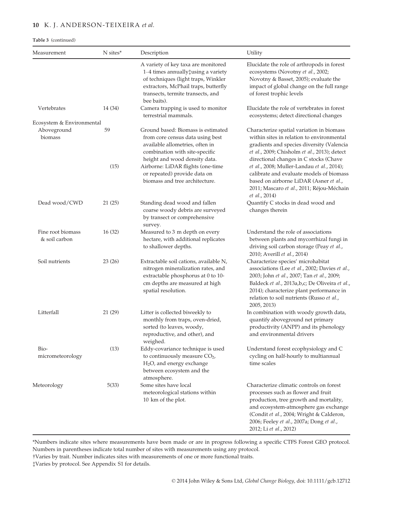# 10 K. J. ANDERSON-TEIXEIRA et al.

Table 3 (continued)

| Measurement                        | N sites*   | Description                                                                                                                                                                                                       | Utility                                                                                                                                                                                                                                                                                      |
|------------------------------------|------------|-------------------------------------------------------------------------------------------------------------------------------------------------------------------------------------------------------------------|----------------------------------------------------------------------------------------------------------------------------------------------------------------------------------------------------------------------------------------------------------------------------------------------|
|                                    |            | A variety of key taxa are monitored<br>1–4 times annually‡using a variety<br>of techniques (light traps, Winkler<br>extractors, McPhail traps, butterfly<br>transects, termite transects, and<br>bee baits).      | Elucidate the role of arthropods in forest<br>ecosystems (Novotny et al., 2002;<br>Novotny & Basset, 2005); evaluate the<br>impact of global change on the full range<br>of forest trophic levels                                                                                            |
| Vertebrates                        | 14 (34)    | Camera trapping is used to monitor<br>terrestrial mammals.                                                                                                                                                        | Elucidate the role of vertebrates in forest<br>ecosystems; detect directional changes                                                                                                                                                                                                        |
| Ecosystem & Environmental          |            |                                                                                                                                                                                                                   |                                                                                                                                                                                                                                                                                              |
| Aboveground<br>biomass             | 59<br>(15) | Ground based: Biomass is estimated<br>from core census data using best<br>available allometries, often in<br>combination with site-specific<br>height and wood density data.<br>Airborne: LiDAR flights (one-time | Characterize spatial variation in biomass<br>within sites in relation to environmental<br>gradients and species diversity (Valencia<br>et al., 2009; Chisholm et al., 2013); detect<br>directional changes in C stocks (Chave                                                                |
|                                    |            | or repeated) provide data on<br>biomass and tree architecture.                                                                                                                                                    | et al., 2008; Muller-Landau et al., 2014);<br>calibrate and evaluate models of biomass<br>based on airborne LiDAR (Asner et al.,<br>2011; Mascaro et al., 2011; Réjou-Méchain<br>et al., 2014)                                                                                               |
| Dead wood/CWD                      | 21(25)     | Standing dead wood and fallen<br>coarse woody debris are surveyed<br>by transect or comprehensive<br>survey.                                                                                                      | Quantify C stocks in dead wood and<br>changes therein                                                                                                                                                                                                                                        |
| Fine root biomass<br>& soil carbon | 16(32)     | Measured to 3 m depth on every<br>hectare, with additional replicates<br>to shallower depths.                                                                                                                     | Understand the role of associations<br>between plants and mycorrhizal fungi in<br>driving soil carbon storage (Peay et al.,<br>2010; Averill et al., 2014)                                                                                                                                   |
| Soil nutrients                     | 23(26)     | Extractable soil cations, available N,<br>nitrogen mineralization rates, and<br>extractable phosphorus at 0 to 10-<br>cm depths are measured at high<br>spatial resolution.                                       | Characterize species' microhabitat<br>associations (Lee et al., 2002; Davies et al.,<br>2003; John et al., 2007; Tan et al., 2009;<br>Baldeck et al., 2013a,b,c; De Oliveira et al.,<br>2014); characterize plant performance in<br>relation to soil nutrients (Russo et al.,<br>2005, 2013) |
| Litterfall                         | 21 (29)    | Litter is collected biweekly to<br>monthly from traps, oven-dried,<br>sorted (to leaves, woody,<br>reproductive, and other), and<br>weighed.                                                                      | In combination with woody growth data,<br>quantify aboveground net primary<br>productivity (ANPP) and its phenology<br>and environmental drivers                                                                                                                                             |
| Bio-<br>micrometeorology           | (13)       | Eddy-covariance technique is used<br>to continuously measure $CO2$ ,<br>$H2O$ , and energy exchange<br>between ecosystem and the<br>atmosphere.                                                                   | Understand forest ecophysiology and C<br>cycling on half-hourly to multiannual<br>time scales                                                                                                                                                                                                |
| Meteorology                        | 5(33)      | Some sites have local<br>meteorological stations within<br>10 km of the plot.                                                                                                                                     | Characterize climatic controls on forest<br>processes such as flower and fruit<br>production, tree growth and mortality,<br>and ecosystem-atmosphere gas exchange<br>(Condit et al., 2004; Wright & Calderon,<br>2006; Feeley et al., 2007a; Dong et al.,<br>2012; Li et al., 2012)          |

\*Numbers indicate sites where measurements have been made or are in progress following a specific CTFS Forest GEO protocol. Numbers in parentheses indicate total number of sites with measurements using any protocol.

†Varies by trait. Number indicates sites with measurements of one or more functional traits.

‡Varies by protocol. See Appendix S1 for details.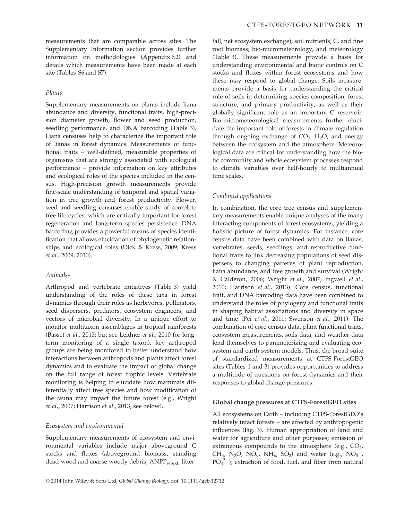measurements that are comparable across sites. The Supplementary Information section provides further information on methodologies (Appendix S2) and details which measurements have been made at each site (Tables S6 and S7).

#### Plants

Supplementary measurements on plants include liana abundance and diversity, functional traits, high-precision diameter growth, flower and seed production, seedling performance, and DNA barcoding (Table 3). Liana censuses help to characterize the important role of lianas in forest dynamics. Measurements of functional traits – well-defined, measurable properties of organisms that are strongly associated with ecological performance – provide information on key attributes and ecological roles of the species included in the census. High-precision growth measurements provide fine-scale understanding of temporal and spatial variation in tree growth and forest productivity. Flower, seed and seedling censuses enable study of complete tree life cycles, which are critically important for forest regeneration and long-term species persistence. DNA barcoding provides a powerful means of species identification that allows elucidation of phylogenetic relationships and ecological roles (Dick & Kress, 2009; Kress et al., 2009, 2010).

#### Animals-

Arthropod and vertebrate initiatives (Table 3) yield understanding of the roles of these taxa in forest dynamics through their roles as herbivores, pollinators, seed dispersers, predators, ecosystem engineers, and vectors of microbial diversity. In a unique effort to monitor multitaxon assemblages in tropical rainforests (Basset et al., 2013; but see Leidner et al., 2010 for longterm monitoring of a single taxon), key arthropod groups are being monitored to better understand how interactions between arthropods and plants affect forest dynamics and to evaluate the impact of global change on the full range of forest trophic levels. Vertebrate monitoring is helping to elucidate how mammals differentially affect tree species and how modification of the fauna may impact the future forest (e.g., Wright et al., 2007; Harrison et al., 2013; see below).

#### Ecosystem and environmental

Supplementary measurements of ecosystem and environmental variables include major aboveground C stocks and fluxes (aboveground biomass, standing dead wood and coarse woody debris, ANPP<sub>wood</sub>, litterfall, net ecosystem exchange); soil nutrients, C, and fine root biomass; bio-micrometeorology, and meteorology (Table 3). These measurements provide a basis for understanding environmental and biotic controls on C stocks and fluxes within forest ecosystems and how these may respond to global change. Soils measurements provide a basis for understanding the critical role of soils in determining species composition, forest structure, and primary productivity, as well as their globally significant role as an important C reservoir. Bio-micrometeorological measurements further elucidate the important role of forests in climate regulation through ongoing exchange of  $CO<sub>2</sub>$ , H<sub>2</sub>O, and energy between the ecosystem and the atmosphere. Meteorological data are critical for understanding how the biotic community and whole ecosystem processes respond to climate variables over half-hourly to multiannual time scales.

#### Combined applications

In combination, the core tree census and supplementary measurements enable unique analyses of the many interacting components of forest ecosystems, yielding a holistic picture of forest dynamics. For instance, core census data have been combined with data on lianas, vertebrates, seeds, seedlings, and reproductive functional traits to link decreasing populations of seed dispersers to changing patterns of plant reproduction, liana abundance, and tree growth and survival (Wright & Calderon, 2006; Wright et al., 2007; Ingwell et al., 2010; Harrison et al., 2013). Core census, functional trait, and DNA barcoding data have been combined to understand the roles of phylogeny and functional traits in shaping habitat associations and diversity in space and time (Pei et al., 2011; Swenson et al., 2011). The combination of core census data, plant functional traits, ecosystem measurements, soils data, and weather data lend themselves to parameterizing and evaluating ecosystem and earth system models. Thus, the broad suite of standardized measurements at CTFS-ForestGEO sites (Tables 1 and 3) provides opportunities to address a multitude of questions on forest dynamics and their responses to global change pressures.

#### Global change pressures at CTFS-ForestGEO sites

All ecosystems on Earth – including CTFS-ForestGEO's relatively intact forests – are affected by anthropogenic influences (Fig. 3). Human appropriation of land and water for agriculture and other purposes; emission of extraneous compounds to the atmosphere (e.g.,  $CO<sub>2</sub>$ , CH<sub>4</sub>, N<sub>2</sub>O, NO<sub>y</sub>, NH<sub>x</sub>, SO<sub>2</sub>) and water (e.g., NO<sub>3</sub><sup>-</sup>,  $PO<sub>4</sub><sup>3–</sup>$ ); extraction of food, fuel, and fiber from natural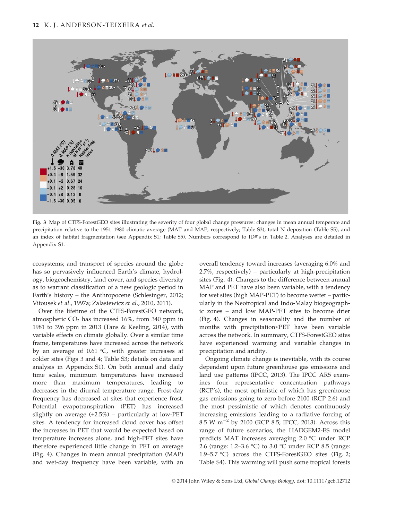

Fig. 3 Map of CTFS-ForestGEO sites illustrating the severity of four global change pressures: changes in mean annual temperate and precipitation relative to the 1951–1980 climatic average (MAT and MAP, respectively; Table S3), total N deposition (Table S5), and an index of habitat fragmentation (see Appendix S1; Table S5). Numbers correspond to ID#'s in Table 2. Analyses are detailed in Appendix S1.

ecosystems; and transport of species around the globe has so pervasively influenced Earth's climate, hydrology, biogeochemistry, land cover, and species diversity as to warrant classification of a new geologic period in Earth's history – the Anthropocene (Schlesinger, 2012; Vitousek et al., 1997a; Zalasiewicz et al., 2010, 2011).

Over the lifetime of the CTFS-ForestGEO network, atmospheric  $CO<sub>2</sub>$  has increased 16%, from 340 ppm in 1981 to 396 ppm in 2013 (Tans & Keeling, 2014), with variable effects on climate globally. Over a similar time frame, temperatures have increased across the network by an average of 0.61 °C, with greater increases at colder sites (Figs 3 and 4; Table S3; details on data and analysis in Appendix S1). On both annual and daily time scales, minimum temperatures have increased more than maximum temperatures, leading to decreases in the diurnal temperature range. Frost-day frequency has decreased at sites that experience frost. Potential evapotranspiration (PET) has increased slightly on average  $(+2.5%)$  – particularly at low-PET sites. A tendency for increased cloud cover has offset the increases in PET that would be expected based on temperature increases alone, and high-PET sites have therefore experienced little change in PET on average (Fig. 4). Changes in mean annual precipitation (MAP) and wet-day frequency have been variable, with an

overall tendency toward increases (averaging 6.0% and 2.7%, respectively) – particularly at high-precipitation sites (Fig. 4). Changes to the difference between annual MAP and PET have also been variable, with a tendency for wet sites (high MAP-PET) to become wetter – particularly in the Neotropical and Indo-Malay biogeographic zones – and low MAP-PET sites to become drier (Fig. 4). Changes in seasonality and the number of months with precipitation<PET have been variable across the network. In summary, CTFS-ForestGEO sites have experienced warming and variable changes in precipitation and aridity.

Ongoing climate change is inevitable, with its course dependent upon future greenhouse gas emissions and land use patterns (IPCC, 2013). The IPCC AR5 examines four representative concentration pathways (RCP's), the most optimistic of which has greenhouse gas emissions going to zero before 2100 (RCP 2.6) and the most pessimistic of which denotes continuously increasing emissions leading to a radiative forcing of 8.5 W m<sup> $-2$ </sup> by 2100 (RCP 8.5; IPCC, 2013). Across this range of future scenarios, the HADGEM2-ES model predicts MAT increases averaging 2.0 °C under RCP 2.6 (range: 1.2–3.6 °C) to 3.0 °C under RCP 8.5 (range: 1.9–5.7 °C) across the CTFS-ForestGEO sites (Fig. 2; Table S4). This warming will push some tropical forests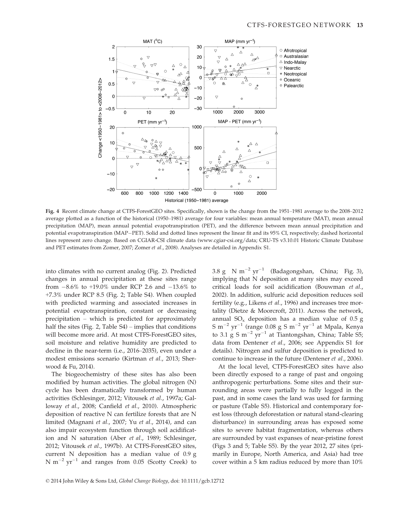

Fig. 4 Recent climate change at CTFS-ForestGEO sites. Specifically, shown is the change from the 1951–1981 average to the 2008–2012 average plotted as a function of the historical (1950–1981) average for four variables: mean annual temperature (MAT), mean annual precipitation (MAP), mean annual potential evapotranspiration (PET), and the difference between mean annual precipitation and potential evapotranspiration (MAP-PET). Solid and dotted lines represent the linear fit and its 95% CI, respectively; dashed horizontal lines represent zero change. Based on CGIAR-CSI climate data (www.cgiar-csi.org/data; CRU-TS v3.10.01 Historic Climate Database and PET estimates from Zomer, 2007; Zomer et al., 2008). Analyses are detailed in Appendix S1.

into climates with no current analog (Fig. 2). Predicted changes in annual precipitation at these sites range from  $-8.6\%$  to  $+19.0\%$  under RCP 2.6 and  $-13.6\%$  to +7.3% under RCP 8.5 (Fig. 2; Table S4). When coupled with predicted warming and associated increases in potential evapotranspiration, constant or decreasing precipitation – which is predicted for approximately half the sites (Fig. 2, Table S4) – implies that conditions will become more arid. At most CTFS-ForestGEO sites, soil moisture and relative humidity are predicted to decline in the near-term (i.e., 2016–2035), even under a modest emissions scenario (Kirtman et al., 2013; Sherwood & Fu, 2014).

The biogeochemistry of these sites has also been modified by human activities. The global nitrogen (N) cycle has been dramatically transformed by human activities (Schlesinger, 2012; Vitousek et al., 1997a; Galloway et al., 2008; Canfield et al., 2010). Atmospheric deposition of reactive N can fertilize forests that are N limited (Magnani et al., 2007; Yu et al., 2014), and can also impair ecosystem function through soil acidification and N saturation (Aber et al., 1989; Schlesinger, 2012; Vitousek et al., 1997b). At CTFS-ForestGEO sites, current N deposition has a median value of 0.9 g N  $m^{-2}$  yr<sup>-1</sup> and ranges from 0.05 (Scotty Creek) to 3.8 g N m<sup>-2</sup> yr<sup>-1</sup> (Badagongshan, China; Fig. 3), implying that N deposition at many sites may exceed critical loads for soil acidification (Bouwman et al., 2002). In addition, sulfuric acid deposition reduces soil fertility (e.g., Likens et al., 1996) and increases tree mortality (Dietze & Moorcroft, 2011). Across the network, annual  $SO_x$  deposition has a median value of 0.5 g S m<sup>-2</sup> yr<sup>-1</sup> (range 0.08 g S m<sup>-2</sup> yr<sup>-1</sup> at Mpala, Kenya to 3.1 g S  $m^{-2}$  yr<sup>-1</sup> at Tiantongshan, China; Table S5; data from Dentener et al., 2006; see Appendix S1 for details). Nitrogen and sulfur deposition is predicted to continue to increase in the future (Dentener et al., 2006).

At the local level, CTFS-ForestGEO sites have also been directly exposed to a range of past and ongoing anthropogenic perturbations. Some sites and their surrounding areas were partially to fully logged in the past, and in some cases the land was used for farming or pasture (Table S5). Historical and contemporary forest loss (through deforestation or natural stand-clearing disturbance) in surrounding areas has exposed some sites to severe habitat fragmentation, whereas others are surrounded by vast expanses of near-pristine forest (Figs 3 and 5; Table S5). By the year 2012, 27 sites (primarily in Europe, North America, and Asia) had tree cover within a 5 km radius reduced by more than 10%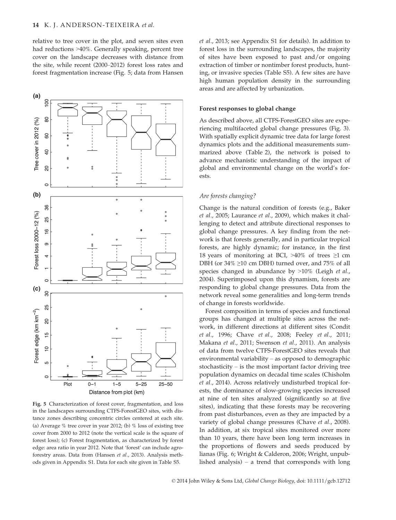relative to tree cover in the plot, and seven sites even had reductions >40%. Generally speaking, percent tree cover on the landscape decreases with distance from the site, while recent (2000–2012) forest loss rates and forest fragmentation increase (Fig. 5; data from Hansen



Fig. 5 Characterization of forest cover, fragmentation, and loss in the landscapes surrounding CTFS-ForestGEO sites, with distance zones describing concentric circles centered at each site. (a) Average % tree cover in year 2012; (b) % loss of existing tree cover from 2000 to 2012 (note the vertical scale is the square of forest loss); (c) Forest fragmentation, as characterized by forest edge: area ratio in year 2012. Note that 'forest' can include agroforestry areas. Data from (Hansen et al., 2013). Analysis methods given in Appendix S1. Data for each site given in Table S5.

et al., 2013; see Appendix S1 for details). In addition to forest loss in the surrounding landscapes, the majority of sites have been exposed to past and/or ongoing extraction of timber or nontimber forest products, hunting, or invasive species (Table S5). A few sites are have high human population density in the surrounding areas and are affected by urbanization.

#### Forest responses to global change

As described above, all CTFS-ForestGEO sites are experiencing multifaceted global change pressures (Fig. 3). With spatially explicit dynamic tree data for large forest dynamics plots and the additional measurements summarized above (Table 2), the network is poised to advance mechanistic understanding of the impact of global and environmental change on the world's forests.

#### Are forests changing?

Change is the natural condition of forests (e.g., Baker et al., 2005; Laurance et al., 2009), which makes it challenging to detect and attribute directional responses to global change pressures. A key finding from the network is that forests generally, and in particular tropical forests, are highly dynamic; for instance, in the first 18 years of monitoring at BCI,  $>40\%$  of trees  $\geq1$  cm DBH (or 34% ≥10 cm DBH) turned over, and 75% of all species changed in abundance by >10% (Leigh et al., 2004). Superimposed upon this dynamism, forests are responding to global change pressures. Data from the network reveal some generalities and long-term trends of change in forests worldwide.

Forest composition in terms of species and functional groups has changed at multiple sites across the network, in different directions at different sites (Condit et al., 1996; Chave et al., 2008; Feeley et al., 2011; Makana et al., 2011; Swenson et al., 2011). An analysis of data from twelve CTFS-ForestGEO sites reveals that environmental variability – as opposed to demographic stochasticity – is the most important factor driving tree population dynamics on decadal time scales (Chisholm et al., 2014). Across relatively undisturbed tropical forests, the dominance of slow-growing species increased at nine of ten sites analyzed (significantly so at five sites), indicating that these forests may be recovering from past disturbances, even as they are impacted by a variety of global change pressures (Chave et al., 2008). In addition, at six tropical sites monitored over more than 10 years, there have been long term increases in the proportions of flowers and seeds produced by lianas (Fig. 6; Wright & Calderon, 2006; Wright, unpublished analysis) – a trend that corresponds with long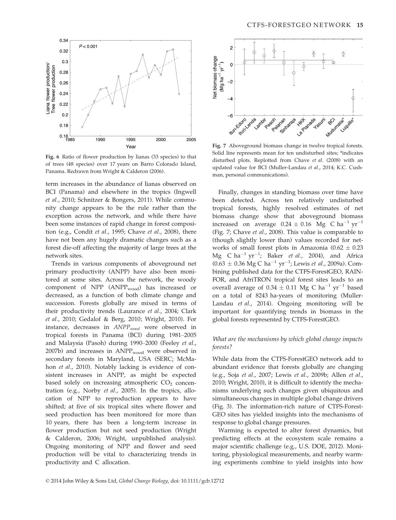

Fig. 6 Ratio of flower production by lianas (33 species) to that of trees (48 species) over 17 years on Barro Colorado Island, Panama. Redrawn from Wright & Calderon (2006).

term increases in the abundance of lianas observed on BCI (Panama) and elsewhere in the tropics (Ingwell et al., 2010; Schnitzer & Bongers, 2011). While community change appears to be the rule rather than the exception across the network, and while there have been some instances of rapid change in forest composition (e.g., Condit et al., 1995; Chave et al., 2008), there have not been any hugely dramatic changes such as a forest die-off affecting the majority of large trees at the network sites.

Trends in various components of aboveground net primary productivity (ANPP) have also been monitored at some sites. Across the network, the woody component of  $NPP$  (ANPP<sub>wood</sub>) has increased or decreased, as a function of both climate change and succession. Forests globally are mixed in terms of their productivity trends (Laurance et al., 2004; Clark et al., 2010; Gedalof & Berg, 2010; Wright, 2010). For instance, decreases in  $ANPP_{wood}$  were observed in tropical forests in Panama (BCI) during 1981–2005 and Malaysia (Pasoh) during 1990–2000 (Feeley et al., 2007b) and increases in  $ANPP_{wood}$  were observed in secondary forests in Maryland, USA (SERC; McMahon et al., 2010). Notably lacking is evidence of consistent increases in ANPP, as might be expected based solely on increasing atmospheric  $CO<sub>2</sub>$  concentration (e.g., Norby et al., 2005). In the tropics, allocation of NPP to reproduction appears to have shifted; at five of six tropical sites where flower and seed production has been monitored for more than 10 years, there has been a long-term increase in flower production but not seed production (Wright & Calderon, 2006; Wright, unpublished analysis). Ongoing monitoring of NPP and flower and seed production will be vital to characterizing trends in productivity and C allocation.



Fig. 7 Aboveground biomass change in twelve tropical forests. Solid line represents mean for ten undisturbed sites; \*indicates disturbed plots. Replotted from Chave et al. (2008) with an updated value for BCI (Muller-Landau et al., 2014; K.C. Cushman, personal communications).

Finally, changes in standing biomass over time have been detected. Across ten relatively undisturbed tropical forests, highly resolved estimates of net biomass change show that aboveground biomass increased on average  $0.24 \pm 0.16$  Mg C ha<sup>-1</sup> yr<sup>-1</sup> (Fig. 7; Chave et al., 2008). This value is comparable to (though slightly lower than) values recorded for networks of small forest plots in Amazonia  $(0.62 \pm 0.23)$ Mg  $C$  ha<sup>-1</sup> yr<sup>-1</sup>; Baker *et al.,* 2004), and Africa  $(0.63 \pm 0.36 \text{ Mg C ha}^{-1} \text{ yr}^{-1})$ ; Lewis *et al.*, 2009a). Combining published data for the CTFS-ForestGEO, RAIN-FOR, and AfriTRON tropical forest sites leads to an overall average of  $0.34 \pm 0.11$  Mg C ha<sup>-1</sup> yr<sup>-1</sup> based on a total of 8243 ha-years of monitoring (Muller-Landau et al., 2014). Ongoing monitoring will be important for quantifying trends in biomass in the global forests represented by CTFS-ForestGEO.

### What are the mechanisms by which global change impacts forests?

While data from the CTFS-ForestGEO network add to abundant evidence that forests globally are changing (e.g., Soja et al., 2007; Lewis et al., 2009b; Allen et al., 2010; Wright, 2010), it is difficult to identify the mechanisms underlying such changes given ubiquitous and simultaneous changes in multiple global change drivers (Fig. 3). The information-rich nature of CTFS-Forest-GEO sites has yielded insights into the mechanisms of response to global change pressures.

Warming is expected to alter forest dynamics, but predicting effects at the ecosystem scale remains a major scientific challenge (e.g., U.S. DOE, 2012). Monitoring, physiological measurements, and nearby warming experiments combine to yield insights into how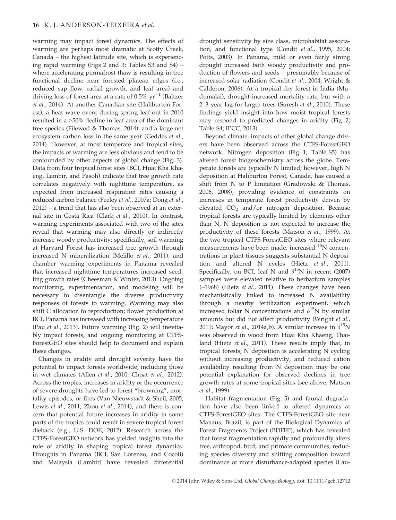warming may impact forest dynamics. The effects of warming are perhaps most dramatic at Scotty Creek, Canada – the highest latitude site, which is experiencing rapid warming (Figs 2 and 3; Tables S3 and S4) – where accelerating permafrost thaw is resulting in tree functional decline near forested plateau edges (i.e., reduced sap flow, radial growth, and leaf area) and driving loss of forest area at a rate of  $0.5\%$  yr<sup>-1</sup> (Baltzer et al., 2014). At another Canadian site (Haliburton Forest), a heat wave event during spring leaf-out in 2010 resulted in a >50% decline in leaf area of the dominant tree species (Filewod & Thomas, 2014), and a large net ecosystem carbon loss in the same year (Geddes et al., 2014). However, at most temperate and tropical sites, the impacts of warming are less obvious and tend to be confounded by other aspects of global change (Fig. 3). Data from four tropical forest sites (BCI, Huai Kha Khaeng, Lambir, and Pasoh) indicate that tree growth rate correlates negatively with nighttime temperature, as expected from increased respiration rates causing a reduced carbon balance (Feeley et al., 2007a; Dong et al., 2012) – a trend that has also been observed at an external site in Costa Rica (Clark et al., 2010). In contrast, warming experiments associated with two of the sites reveal that warming may also directly or indirectly increase woody productivity; specifically, soil warming at Harvard Forest has increased tree growth through increased N mineralization (Melillo et al., 2011), and chamber warming experiments in Panama revealed that increased nighttime temperatures increased seedling growth rates (Cheesman & Winter, 2013). Ongoing monitoring, experimentation, and modeling will be necessary to disentangle the diverse productivity responses of forests to warming. Warming may also shift C allocation to reproduction; flower production at BCI, Panama has increased with increasing temperature (Pau et al., 2013). Future warming (Fig. 2) will inevitably impact forests, and ongoing monitoring at CTFS-ForestGEO sites should help to document and explain these changes.

Changes in aridity and drought severity have the potential to impact forests worldwide, including those in wet climates (Allen et al., 2010; Choat et al., 2012). Across the tropics, increases in aridity or the occurrence of severe droughts have led to forest "browning", mortality episodes, or fires (Van Nieuwstadt & Sheil, 2005; Lewis et al., 2011; Zhou et al., 2014), and there is concern that potential future increases in aridity in some parts of the tropics could result in severe tropical forest dieback (e.g., U.S. DOE, 2012). Research across the CTFS-ForestGEO network has yielded insights into the role of aridity in shaping tropical forest dynamics. Droughts in Panama (BCI, San Lorenzo, and Cocoli) and Malaysia (Lambir) have revealed differential drought sensitivity by size class, microhabitat association, and functional type (Condit et al., 1995, 2004; Potts, 2003). In Panama, mild or even fairly strong drought increased both woody productivity and production of flowers and seeds – presumably because of increased solar radiation (Condit et al., 2004; Wright & Calderon, 2006). At a tropical dry forest in India (Mudumalai), drought increased mortality rate, but with a 2–3 year lag for larger trees (Suresh et al., 2010). These findings yield insight into how moist tropical forests may respond to predicted changes in aridity (Fig. 2; Table S4; IPCC, 2013).

Beyond climate, impacts of other global change drivers have been observed across the CTFS-ForestGEO network. Nitrogen deposition (Fig. 1; Table S5) has altered forest biogeochemistry across the globe. Temperate forests are typically N limited; however, high N deposition at Haliburton Forest, Canada, has caused a shift from N to P limitation (Gradowski & Thomas, 2006, 2008), providing evidence of constraints on increases in temperate forest productivity driven by elevated  $CO<sub>2</sub>$  and/or nitrogen deposition. Because tropical forests are typically limited by elements other than N, N deposition is not expected to increase the productivity of these forests (Matson et al., 1999). At the two tropical CTFS-ForestGEO sites where relevant measurements have been made, increased <sup>15</sup>N concentrations in plant tissues suggests substantial N deposition and altered N cycles (Hietz et al., 2011). Specifically, on BCI, leaf N and  $\delta^{15}N$  in recent (2007) samples were elevated relative to herbarium samples (~1968) (Hietz et al., 2011). These changes have been mechanistically linked to increased N availability through a nearby fertilization experiment, which increased foliar N concentrations and  $\delta^{15}N$  by similar amounts but did not affect productivity (Wright et al., 2011; Mayor *et al.*, 2014a,b). A similar increase in  $\delta^{15}N$ was observed in wood from Huai Kha Khaeng, Thailand (Hietz et al., 2011). These results imply that, in tropical forests, N deposition is accelerating N cycling without increasing productivity, and reduced cation availability resulting from N deposition may be one potential explanation for observed declines in tree growth rates at some tropical sites (see above; Matson et al., 1999).

Habitat fragmentation (Fig. 5) and faunal degradation have also been linked to altered dynamics at CTFS-ForestGEO sites. The CTFS-ForestGEO site near Manaus, Brazil, is part of the Biological Dynamics of Forest Fragments Project (BDFFP), which has revealed that forest fragmentation rapidly and profoundly alters tree, arthropod, bird, and primate communities, reducing species diversity and shifting composition toward dominance of more disturbance-adapted species (Lau-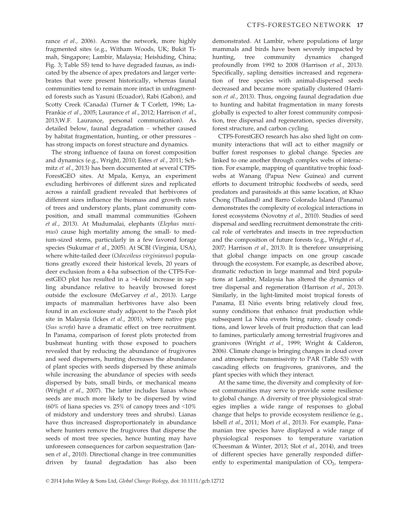rance et al., 2006). Across the network, more highly fragmented sites (e.g., Witham Woods, UK; Bukit Timah, Singapore; Lambir, Malaysia; Heishiding, China; Fig. 3; Table S5) tend to have degraded faunas, as indicated by the absence of apex predators and larger vertebrates that were present historically, whereas faunal communities tend to remain more intact in unfragmented forests such as Yasuni (Ecuador), Rabi (Gabon), and Scotty Creek (Canada) (Turner & T Corlett, 1996; La-Frankie et al., 2005; Laurance et al., 2012; Harrison et al., 2013;W.F. Laurance, personal communication). As detailed below, faunal degradation – whether caused by habitat fragmentation, hunting, or other pressures – has strong impacts on forest structure and dynamics.

The strong influence of fauna on forest composition and dynamics (e.g., Wright, 2010; Estes et al., 2011; Schmitz et al., 2013) has been documented at several CTFS-ForestGEO sites. At Mpala, Kenya, an experiment excluding herbivores of different sizes and replicated across a rainfall gradient revealed that herbivores of different sizes influence the biomass and growth rates of trees and understory plants, plant community composition, and small mammal communities (Goheen et al., 2013). At Mudumalai, elephants (Elephas maximus) cause high mortality among the small- to medium-sized stems, particularly in a few favored forage species (Sukumar et al., 2005). At SCBI (Virginia, USA), where white-tailed deer (Odocoileus virginianus) populations greatly exceed their historical levels, 20 years of deer exclusion from a 4-ha subsection of the CTFS-ForestGEO plot has resulted in a >4-fold increase in sapling abundance relative to heavily browsed forest outside the exclosure (McGarvey et al., 2013). Large impacts of mammalian herbivores have also been found in an exclosure study adjacent to the Pasoh plot site in Malaysia (Ickes et al., 2001), where native pigs (Sus scrofa) have a dramatic effect on tree recruitment. In Panama, comparison of forest plots protected from bushmeat hunting with those exposed to poachers revealed that by reducing the abundance of frugivores and seed dispersers, hunting decreases the abundance of plant species with seeds dispersed by these animals while increasing the abundance of species with seeds dispersed by bats, small birds, or mechanical means (Wright et al., 2007). The latter includes lianas whose seeds are much more likely to be dispersed by wind (60% of liana species vs. 25% of canopy trees and  $\leq 10\%$ of midstory and understory trees and shrubs). Lianas have thus increased disproportionately in abundance where hunters remove the frugivores that disperse the seeds of most tree species, hence hunting may have unforeseen consequences for carbon sequestration (Jansen et al., 2010). Directional change in tree communities driven by faunal degradation has also been

demonstrated. At Lambir, where populations of large mammals and birds have been severely impacted by hunting, tree community dynamics changed profoundly from 1992 to 2008 (Harrison et al., 2013). Specifically, sapling densities increased and regeneration of tree species with animal-dispersed seeds decreased and became more spatially clustered (Harrison et al., 2013). Thus, ongoing faunal degradation due to hunting and habitat fragmentation in many forests globally is expected to alter forest community composition, tree dispersal and regeneration, species diversity, forest structure, and carbon cycling.

CTFS-ForestGEO research has also shed light on community interactions that will act to either magnify or buffer forest responses to global change. Species are linked to one another through complex webs of interaction. For example, mapping of quantitative trophic foodwebs at Wanang (Papua New Guinea) and current efforts to document tritrophic foodwebs of seeds, seed predators and parasitoids at this same location, at Khao Chong (Thailand) and Barro Colorado Island (Panama) demonstrates the complexity of ecological interactions in forest ecosystems (Novotny et al., 2010). Studies of seed dispersal and seedling recruitment demonstrate the critical role of vertebrates and insects in tree reproduction and the composition of future forests (e.g., Wright et al., 2007; Harrison et al., 2013). It is therefore unsurprising that global change impacts on one group cascade through the ecosystem. For example, as described above, dramatic reduction in large mammal and bird populations at Lambir, Malaysia has altered the dynamics of tree dispersal and regeneration (Harrison et al., 2013). Similarly, in the light-limited moist tropical forests of Panama, El Niño events bring relatively cloud free, sunny conditions that enhance fruit production while subsequent La Niña events bring rainy, cloudy conditions, and lower levels of fruit production that can lead to famines, particularly among terrestrial frugivores and granivores (Wright et al., 1999; Wright & Calderon, 2006). Climate change is bringing changes in cloud cover and atmospheric transmissivity to PAR (Table S3) with cascading effects on frugivores, granivores, and the plant species with which they interact.

At the same time, the diversity and complexity of forest communities may serve to provide some resilience to global change. A diversity of tree physiological strategies implies a wide range of responses to global change that helps to provide ecosystem resilience (e.g., Isbell et al., 2011; Mori et al., 2013). For example, Panamanian tree species have displayed a wide range of physiological responses to temperature variation (Cheesman & Winter, 2013; Slot et al., 2014), and trees of different species have generally responded differently to experimental manipulation of  $CO<sub>2</sub>$ , tempera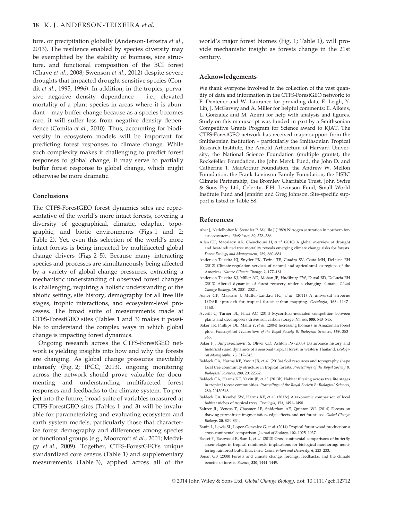ture, or precipitation globally (Anderson-Teixeira et al., 2013). The resilience enabled by species diversity may be exemplified by the stability of biomass, size structure, and functional composition of the BCI forest (Chave et al., 2008; Swenson et al., 2012) despite severe droughts that impacted drought-sensitive species (Condit et al., 1995, 1996). In addition, in the tropics, pervasive negative density dependence – i.e., elevated mortality of a plant species in areas where it is abundant – may buffer change because as a species becomes rare, it will suffer less from negative density dependence (Comita et al., 2010). Thus, accounting for biodiversity in ecosystem models will be important for predicting forest responses to climate change. While such complexity makes it challenging to predict forest responses to global change, it may serve to partially buffer forest response to global change, which might otherwise be more dramatic.

#### Conclusions

The CTFS-ForestGEO forest dynamics sites are representative of the world's more intact forests, covering a diversity of geographical, climatic, edaphic, topographic, and biotic environments (Figs 1 and 2; Table 2). Yet, even this selection of the world's more intact forests is being impacted by multifaceted global change drivers (Figs 2–5). Because many interacting species and processes are simultaneously being affected by a variety of global change pressures, extracting a mechanistic understanding of observed forest changes is challenging, requiring a holistic understanding of the abiotic setting, site history, demography for all tree life stages, trophic interactions, and ecosystem-level processes. The broad suite of measurements made at CTFS-ForestGEO sites (Tables 1 and 3) makes it possible to understand the complex ways in which global change is impacting forest dynamics.

Ongoing research across the CTFS-ForestGEO network is yielding insights into how and why the forests are changing. As global change pressures inevitably intensify (Fig. 2; IPCC, 2013), ongoing monitoring across the network should prove valuable for documenting and understanding multifaceted forest responses and feedbacks to the climate system. To project into the future, broad suite of variables measured at CTFS-ForestGEO sites (Tables 1 and 3) will be invaluable for parameterizing and evaluating ecosystem and earth system models, particularly those that characterize forest demography and differences among species or functional groups (e.g., Moorcroft et al., 2001; Medvigy et al., 2009). Together, CTFS-ForestGEO's unique standardized core census (Table 1) and supplementary measurements (Table 3), applied across all of the world's major forest biomes (Fig. 1; Table 1), will provide mechanistic insight as forests change in the 21st century.

#### Acknowledgements

We thank everyone involved in the collection of the vast quantity of data and information in the CTFS-ForestGEO network; to F. Dentener and W. Laurance for providing data; E. Leigh, Y. Lin, J. McGarvey and A. Miller for helpful comments; E. Aikens, L. Gonzalez and M. Azimi for help with analysis and figures. Study on this manuscript was funded in part by a Smithsonian Competitive Grants Program for Science award to KJAT. The CTFS-ForestGEO network has received major support from the Smithsonian Institution – particularly the Smithsonian Tropical Research Institute, the Arnold Arboretum of Harvard University, the National Science Foundation (multiple grants), the Rockefeller Foundation, the John Merck Fund, the John D. and Catherine T. MacArthur Foundation, the Andrew W. Mellon Foundation, the Frank Levinson Family Foundation, the HSBC Climate Partnership, the Bromley Charitable Trust, John Swire & Sons Pty Ltd, Celerity, F.H. Levinson Fund, Small World Institute Fund and Jennifer and Greg Johnson. Site-specific support is listed in Table S8.

#### References

- Aber J, Nedelhoffer K, Steudler P, Melillo J (1989) Nitrogen saturation in northern forest ecosystems. BioScience, 39, 378–386.
- Allen CD, Macalady AK, Chenchouni H, et al. (2010) A global overview of drought and heat-induced tree mortality reveals emerging climate change risks for forests. Forest Ecology and Management, 259, 660–684.
- Anderson-Teixeira KJ, Snyder PK, Twine TE, Cuadra SV, Costa MH, DeLucia EH (2012) Climate-regulation services of natural and agricultural ecoregions of the Americas. Nature Climate Change, 2, 177–181.
- Anderson-Teixeira KJ, Miller AD, Mohan JE, Hudiburg TW, Duval BD, DeLucia EH (2013) Altered dynamics of forest recovery under a changing climate. Global Change Biology, 19, 2001–2021.
- Asner GP, Mascaro J, Muller-Landau HC, et al. (2011) A universal airborne LiDAR approach for tropical forest carbon mapping. Oecologia, 168, 1147– 1160.
- Averill C, Turner BL, Finzi AC (2014) Mycorrhiza-mediated competition between plants and decomposers drives soil carbon storage. Nature, 505, 543–545.
- Baker TR, Phillips OL, Malhi Y, et al. (2004) Increasing biomass in Amazonian forest plots. Philosophical Transactions of the Royal Society B: Biological Sciences, 359, 353– 365.
- Baker PJ, Bunyavejchewin S, Oliver CD, Ashton PS (2005) Disturbance history and historical stand dynamics of a seasonal tropical forest in western Thailand. Ecological Monographs, 75, 317–343.
- Baldeck CA, Harms KE, Yavitt JB, et al. (2013a) Soil resources and topography shape local tree community structure in tropical forests. Proceedings of the Royal Society B: Biological Sciences, 280, 20122532.
- Baldeck CA, Harms KE, Yavitt JB, et al. (2013b) Habitat filtering across tree life stages in tropical forest communities. Proceedings of the Royal Society B: Biological Sciences, 280, 20130548.
- Baldeck CA, Kembel SW, Harms KE, et al. (2013c) A taxonomic comparison of local habitat niches of tropical trees. Oecologia, 173, 1491–1498.
- Baltzer JL, Veness T, Chasmer LE, Sniderhan AE, Quinton WL (2014) Forests on thawing permafrost: fragmentation, edge effects, and net forest loss. Global Change Biology, 20, 824–834.
- Banin L, Lewis SL, Lopez-Gonzalez G, et al. (2014) Tropical forest wood production: a cross-continental comparison. Journal of Ecology, 102, 1025–1037.
- Basset Y, Eastwood R, Sam L, et al. (2013) Cross-continental comparisons of butterfly assemblages in tropical rainforests: implications for biological monitoring: monitoring rainforest butterflies. Insect Conservation and Diversity, 6, 223–233.
- Bonan GB (2008) Forests and climate change: forcings, feedbacks, and the climate benefits of forests. Science, 320, 1444–1449.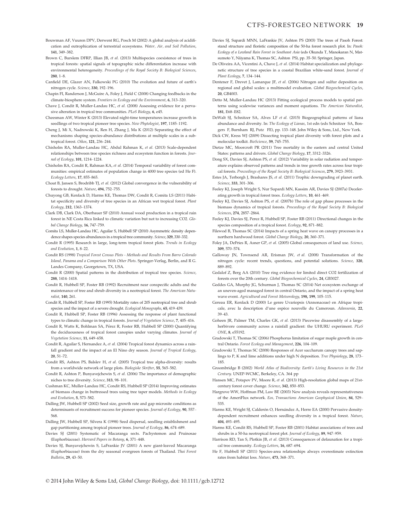- Brown C, Burslem DFRP, Illian JB, et al. (2013) Multispecies coexistence of trees in tropical forests: spatial signals of topographic niche differentiation increase with environmental heterogeneity. Proceedings of the Royal Society B: Biological Sciences, 280, 1–8.
- Canfield DE, Glazer AN, Falkowski PG (2010) The evolution and future of earth's nitrogen cycle. Science, 330, 192–196.
- Chapin FI, Randerson J, McGuire A, Foley J, Field C (2008) Changing feedbacks in the climate-biosphere system. Frontiers in Ecology and the Environment, 6, 313–320.
- Chave J, Condit R, Muller-Landau HC, et al. (2008) Assessing evidence for a pervasive alteration in tropical tree communities. PLoS Biology, 6, e45.
- Cheesman AW, Winter K (2013) Elevated night-time temperatures increase growth in seedlings of two tropical pioneer tree species. New Phytologist, 197, 1185–1192.
- Cheng J, Mi X, Nadrowski K, Ren H, Zhang J, Ma K (2012) Separating the effect of mechanisms shaping species-abundance distributions at multiple scales in a subtropical forest. Oikos, 121, 236–244.
- Chisholm RA, Muller-Landau HC, Abdul Rahman K, et al. (2013) Scale-dependent relationships between tree species richness and ecosystem function in forests. Journal of Ecology, 101, 1214–1224.
- Chisholm RA, Condit R, Rahman KA, et al. (2014) Temporal variability of forest communities: empirical estimates of population change in 4000 tree species (ed He F). Ecology Letters, 17, 855–865.
- Choat B, Jansen S, Brodribb TJ, et al. (2012) Global convergence in the vulnerability of forests to drought. Nature, 494, 752–755.
- Chuyong GB, Kenfack D, Harms KE, Thomas DW, Condit R, Comita LS (2011) Habitat specificity and diversity of tree species in an African wet tropical forest. Plant Ecology, 212, 1363–1374.
- Clark DB, Clark DA, Oberbauer SF (2010) Annual wood production in a tropical rain forest in NE Costa Rica linked to climatic variation but not to increasing CO2. Global Change Biology, 16, 747–759.
- Comita LS, Muller-Landau HC, Aguilar S, Hubbell SP (2010) Asymmetric density dependence shapes species abundances in a tropical tree community. Science, 329, 330–332.
- Condit R (1995) Research in large, long-term tropical forest plots. Trends in Ecology and Evolution, 1, 8–22.
- Condit RS (1998) Tropical Forest Census Plots Methods and Results From Barro Colorado Island, Panama and a Comparison With Other Plots. Springer-Verlag, Berlin, and R G. Landes Company, Georgetown, TX, USA.
- Condit R (2000) Spatial patterns in the distribution of tropical tree species. Science, 288, 1414–1418.
- Condit R, Hubbell SP, Foster RB (1992) Recruitment near conspecific adults and the maintenance of tree and shrub diversity in a neotropical forest. The American Naturalist, 140, 261.
- Condit R, Hubbell SP, Foster RB (1995) Mortality rates of 205 neotropical tree and shrub species and the impact of a severe drought. Ecological Monographs, 65, 419–439.
- Condit R, Hubbell SP, Foster RB (1996) Assessing the response of plant functional types to climatic change in tropical forests. Journal of Vegetation Science, 7, 405–416.
- Condit R, Watts K, Bohlman SA, Perez R, Foster RB, Hubbell SP (2000) Quantifying the deciduousness of tropical forest canopies under varying climates. Journal of Vegetation Science, 11, 649–658.
- Condit R, Aguilar S, Hernandez A, et al. (2004) Tropical forest dynamics across a rainfall gradient and the impact of an El Nino dry season. Journal of Tropical Ecology, 20, 51–72.
- Condit RS, Ashton PS, Balslev H, et al. (2005) Tropical tree alpha-diversity: results from a worldwide network of large plots. Biologiske Skrifter, 55, 565–582.
- Condit R, Ashton P, Bunyavejchewin S, et al. (2006) The importance of demographic niches to tree diversity. Science, 313, 98–101.
- Cushman KC, Muller-Landau HC, Condit RS, Hubbell SP (2014) Improving estimates of biomass change in buttressed trees using tree taper models. Methods in Ecology and Evolution, 5, 573–582.
- Dalling JW, Hubbell SP (2002) Seed size, growth rate and gap microsite conditions as determinants of recruitment success for pioneer species. Journal of Ecology, 90, 557– 568.
- Dalling JW, Hubbell SP, Silvera K (1998) Seed dispersal, seedling establishment and gap partitioning among tropical pioneer trees. Journal of Ecology, 86, 674–689.
- Davies SJ (2001) Systematic of Macaranga sects. Pachystemon and Pruinosae (Euphorbiaceae). Harvard Papers in Botany, 6, 371–448.
- Davies SJ, Bunyavejchewin S, LaFrankie JV (2001) A new giant-leaved Macaranga (Euphorbiaceae) from the dry seasonal evergreen forests of Thailand. Thai Forest Bulletin, 29, 43–50.
- Davies SJ, Supardi MNN, LaFrankie JV, Ashton PS (2003) The trees of Pasoh Forest: stand structure and floristic composition of the 50-ha forest research plot. In: Pasoh: Ecology of a Lowland Rain Forest in Southeast Asia (eds Okunda T, Manokaran N, Matsumoto Y, Niiyama K, Thomas SC, Ashton PS), pp. 35–50. Springer, Japan.
- De Oliveira AA, Vicentini A, Chave J, et al. (2014) Habitat specialization and phylogenetic structure of tree species in a coastal Brazilian white-sand forest. Journal of Plant Ecology, 7, 134–144.
- Dentener F, Drevet J, Lamarque JF, et al. (2006) Nitrogen and sulfur deposition on regional and global scales: a multimodel evaluation. Global Biogeochemical Cycles, 20, GB4003.
- Detto M, Muller-Landau HC (2013) Fitting ecological process models to spatial patterns using scalewise variances and moment equations. The American Naturalist, 181, E68–E82.
- DeWalt SJ, Schnitzer SA, Alves LF et al. (2015) Biogeographical patterns of liana abundance and diversity. In: The Ecology of Lianas, 1st edn (eds Schnitzer SA, Bongers F, Burnham RJ, Putz FE), pp. 133–148. John Wiley & Sons, Ltd., New York.
- Dick CW, Kress WJ (2009) Dissecting tropical plant diversity with forest plots and a molecular toolkit. BioScience, 59, 745–755.
- Dietze MC, Moorcroft PR (2011) Tree mortality in the eastern and central United States: patterns and drivers. Global Change Biology, 17, 3312–3326.
- Dong SX, Davies SJ, Ashton PS, et al. (2012) Variability in solar radiation and temperature explains observed patterns and trends in tree growth rates across four tropical forests. Proceedings of the Royal Society B: Biological Sciences, 279, 3923–3931.
- Estes JA, Terborgh J, Brashares JS, et al. (2011) Trophic downgrading of planet earth. Science, 333, 301–306.
- Feeley KJ, Joseph Wright S, Nur Supardi MN, Kassim AR, Davies SJ (2007a) Decelerating growth in tropical forest trees. Ecology Letters, 10, 461–469.
- Feeley KJ, Davies SJ, Ashton PS, et al. (2007b) The role of gap phase processes in the biomass dynamics of tropical forests. Proceedings of the Royal Society B: Biological Sciences, 274, 2857–2864.
- Feeley KJ, Davies SJ, Perez R, Hubbell SP, Foster RB (2011) Directional changes in the species composition of a tropical forest. Ecology, 92, 871–882.
- Filewod B, Thomas SC (2014) Impacts of a spring heat wave on canopy processes in a northern hardwood forest. Global Change Biology, 20, 360–371.
- Foley JA, DeFries R, Asner GP, et al. (2005) Global consequences of land use. Science, 309, 570–574.
- Galloway JN, Townsend AR, Erisman JW, et al. (2008) Transformation of the nitrogen cycle: recent trends, questions, and potential solutions. Science, 320, 889–892.
- Gedalof Z, Berg AA (2010) Tree ring evidence for limited direct CO2 fertilization of forests over the 20th century. Global Biogeochemical Cycles, 24, GB3027.
- Geddes GA, Murphy JG, Schurman J, Thomas SC (2014) Net ecosystem exchange of an uneven-aged managed forest in central Ontario, and the impact of a spring heat wave event. Agricultural and Forest Meteorology, 198, 199, 105–115.
- Gereau ER, Kenfack D (2000) Le genre Uvariopsis (Annonaceae) en Afrique tropicale, avec la description d'une espèce nouvelle du Cameroun. Adansonia, 22, 39–43.
- Goheen JR, Palmer TM, Charles GK, et al. (2013) Piecewise disassembly of a largeherbivore community across a rainfall gradient: the UHURU experiment. PLoS ONE, 8, e55192.
- Gradowski T, Thomas SC (2006) Phosphorus limitation of sugar maple growth in central Ontario. Forest Ecology and Management, 226, 104–109.
- Gradowski T, Thomas SC (2008) Responses of Acer saccharum canopy trees and saplings to P, K and lime additions under high N deposition. Tree Physiology, 28, 173– 185.
- Groombridge B (2002) World Atlas of Biodiversity: Earth's Living Resources in the 21st Century. UNEP-WCMC, Berkeley, CA. 364 pp
- Hansen MC, Potapov PV, Moore R, et al. (2013) High-resolution global maps of 21stcentury forest cover change. Science, 342, 850–853.
- Hargrove WW, Hoffman FM, Law BE (2003) New analysis reveals representativeness of the AmeriFlux network. Eos, Transactions American Geophysical Union, 84, 529– 535.
- Harms KE, Wright SJ, Calderón O, Hernández A, Herre EA (2000) Pervasive densitydependent recruitment enhances seedling diversity in a tropical forest. Nature, 404, 493–495.
- Harms KE, Condit RS, Hubbell SP, Foster RB (2001) Habitat associations of trees and shrubs in a 50-ha neotropical forest plot. Journal of Ecology, 89, 947–959.
- Harrison RD, Tan S, Plotkin JB, et al. (2013) Consequences of defaunation for a tropical tree community. Ecology Letters, 16, 687–694.
- He F, Hubbell SP (2011) Species-area relationships always overestimate extinction rates from habitat loss. Nature, 473, 368–371.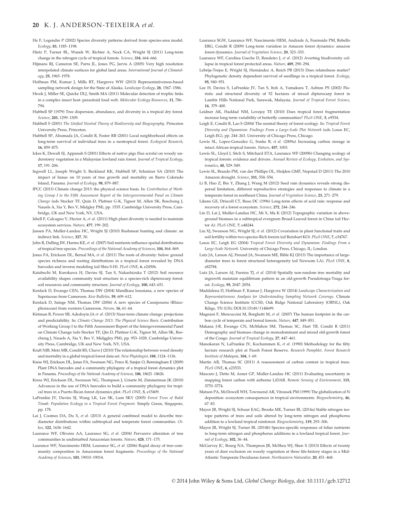#### 20 K. J. ANDERSON-TEIXEIRA et al.

- He F, Legendre P (2002) Species diversity patterns derived from species-area model. Ecology, 83, 1185–1198.
- Hietz P, Turner BL, Wanek W, Richter A, Nock CA, Wright SJ (2011) Long-term change in the nitrogen cycle of tropical forests. Science, 334, 664–666.
- Hijmans RJ, Cameron SE, Parra JL, Jones PG, Jarvis A (2005) Very high resolution interpolated climate surfaces for global land areas. International Journal of Climatology, 25, 1965–1978.
- Hoffman FM, Kumar J, Mills RT, Hargrove WW (2013) Representativeness-based sampling network design for the State of Alaska. Landscape Ecology, 28, 1567-1586.
- Hrcek J, Miller SE, Quicke DLJ, Smith MA (2011) Molecular detection of trophic links in a complex insect host–parasitoid food web. Molecular Ecology Resources, 11, 786– 794.
- Hubbell SP (1979) Tree dispersion, abundance, and diversity in a tropical dry forest. Science, 203, 1299–1309.
- Hubbell S (2001) The Unified Neutral Theory of Biodiversity and Biogeography. Princeton University Press, Princeton.
- Hubbell SP, Ahumada JA, Condit R, Foster RB (2001) Local neighborhood effects on long-term survival of individual trees in a neotropical forest. Ecological Research, 16, 859–875.
- Ickes K, Dewalt SJ, Appanah S (2001) Effects of native pigs (Sus scrofa) on woody understorey vegetation in a Malaysian lowland rain forest. Journal of Tropical Ecology, 17, 191–206.
- Ingwell LL, Joseph Wright S, Becklund KK, Hubbell SP, Schnitzer SA (2010) The impact of lianas on 10 years of tree growth and mortality on Barro Colorado Island, Panama. Journal of Ecology, 98, 879–887.
- IPCC (2013) Climate change 2013: the physical science basis. In: Contribution of Working Group I to the Fifth Assessment Report of the Intergovernmental Panel on Climate Change (eds Stocker TF, Quin D, Plattner G-K, Tignor M, Allen SK, Boschung J, Nauels A, Xia Y, Bex V, Midgley PM), pp. 1535. Cambridge University Press, Cambridge, UK and New York, NY, USA.
- Isbell F, Calcagno V, Hector A, et al. (2011) High plant diversity is needed to maintain ecosystem services. Nature, 477, 199–202.
- Jansen PA, Muller-Landau HC, Wright SJ (2010) Bushmeat hunting and climate: an indirect link. Science, 327, 30.
- John R, Dalling JW, Harms KE, et al. (2007) Soil nutrients influence spatial distributions of tropical tree species. Proceedings of the National Academy of Sciences, 104, 864–869.
- Jones FA, Erickson DL, Bernal MA, et al. (2011) The roots of diversity: below ground species richness and rooting distributions in a tropical forest revealed by DNA barcodes and inverse modeling (ed Shiu S-H). PLoS ONE, 6, e24506.
- Katabuchi M, Kurokawa H, Davies SJ, Tan S, Nakashizuka T (2012) Soil resource availability shapes community trait structure in a species-rich dipterocarp forest: soil resources and community structure. Journal of Ecology, 100, 643-651.
- Kenfack D, Ewango CEN, Thomas DW (2004) Manilkara lososiana, a new species of Sapotaceae from Cameroon. Kew Bulletin, 59, 609–612.
- Kenfack D, Sainge NM, Thomas DW (2006) A new species of Cassipourea (Rhizophoraceae) from western Cameroon. Novon, 16, 61–64.
- Kirtman B, Power SB, Adedoyin JA et al. (2013) Near-term climate change: projections and predictability. In: Climate Change 2013: The Physical Science Basis. Contribution of Working Group I to the Fifth Assessment Report of the Intergovernmental Panel on Climate Change (eds Stocker TF, Qin D, Plattner G-K, Tignor M, Allen SK, Boschung J, Nauels A, Xia Y, Bex V, Midggley PM), pp. 953–1028. Cambridge University Press, Cambridge, UK and New York, NY, USA.
- Kraft NJB, Metz MR, Condit RS, Chave J (2010) The relationship between wood density and mortality in a global tropical forest data set. New Phytologist, 188, 1124–1136.
- Kress WJ, Erickson DL, Jones FA, Swenson NG, Perez R, Sanjur O, Bermingham E (2009) Plant DNA barcodes and a community phylogeny of a tropical forest dynamics plot in Panama. Proceedings of the National Academy of Sciences, 106, 18621-18626.
- Kress WJ, Erickson DL, Swenson NG, Thompson J, Uriarte M, Zimmerman JK (2010) Advances in the use of DNA barcodes to build a community phylogeny for tropical trees in a Puerto Rican forest dynamics plot. PLoS ONE, 5, e15409.
- LaFrankie JV, Davies SJ, Wang LK, Lee SK, Lum SKY (2005) Forest Trees of Bukit Timah: Population Ecology in a Tropical Forest Fragment. Simply Green, Singapore, pp. 178.
- Lai J, Coomes DA, Du X, et al. (2013) A general combined model to describe treediameter distributions within subtropical and temperate forest communities. Oikos, 122, 1636–1642.
- Laurance WF, Oliveira AA, Laurance SG, et al. (2004) Pervasive alteration of tree communities in undisturbed Amazonian forests. Nature, 428, 171–175.
- Laurance WF, Nascimento HEM, Laurance SG, et al. (2006) Rapid decay of tree-community composition in Amazonian forest fragments. Proceedings of the National Academy of Sciences, 103, 19010–19014.
- Laurance SGW, Laurance WF, Nascimento HEM, Andrade A, Fearnside PM, Rebello ERG, Condit R (2009) Long-term variation in Amazon forest dynamics: amazon forest dynamics. Journal of Vegetation Science, 20, 323–333.
- Laurance WF, Carolina Useche D, Rendeiro J, et al. (2012) Averting biodiversity collapse in tropical forest protected areas. Nature, 489, 290–294.
- Lebrija-Trejos E, Wright SJ, Hernandez A, Reich PB (2013) Does relatedness matter? Phylogenetic density dependent survival of seedlings in a tropical forest. Ecology, 95, 940–951.
- Lee H, Davies S, LaFrankie JV, Tan S, Itoh A, Yamakura T, Ashton PS (2002) Floristic and structural diversity of 52 hectares of mixed dipterocarp forest in Lambir Hills National Park, Sarawak, Malaysia. Journal of Tropical Forest Science, 14, 379–400.
- Leidner AK, Haddad NM, Lovejoy TE (2010) Does tropical forest fragmentation increase long-term variability of butterfly communities? PLoS ONE, 5, e9534.
- Leigh E, Condit R, Lao S (2004) The neutral theory of forest ecology. In: Tropical Forest Diversity and Dynamism: Findings From a Large-Scale Plot Network (eds Losos EC, Leigh EG), pp. 244–263. University of Chicago Press, Chicago.
- Lewis SL, Lopez-Gonzalez G, Sonke B, et al. (2009a) Increasing carbon storage in intact African tropical forests. Nature, 457, 1003.
- Lewis SL, Lloyd J, Sitch S, Mitchard ETA, Laurance WF (2009b) Changing ecology of tropical forests: evidence and drivers. Annual Review of Ecology, Evolution, and Systematics, 40, 529-549.
- Lewis SL, Brando PM, van der Phillips OL, Heijden GMF, Nepstad D (2011) The 2010 Amazon drought. Science, 331, 554–554.
- Li B, Hao Z, Bin Y, Zhang J, Wang M (2012) Seed rain dynamics reveals strong dispersal limitation, different reproductive strategies and responses to climate in a temperate forest in northeast China. Journal of Vegetation Science, 23, 271–279.
- Likens GE, Driscoll CT, Buso DC (1996) Long-term effects of acid rain: response and recovery of a forest ecosystem. Science, 272, 244-246.
- Lin D, Lai J, Muller-Landau HC, Mi X, Ma K (2012) Topographic variation in aboveground biomass in a subtropical evergreen Broad-Leaved forest in China (ed Hector A). PLoS ONE, 7, e48244.
- Liu XJ, Swenson NG, Wright SJ, et al. (2012) Covariation in plant functional traits and soil fertility within two species-Rich forests (ed Reinhart KO). PLoS ONE, 7, e34767.
- Losos EC, Leigh EG (2004) Tropical Forest Diversity and Dynamism: Findings From a Large-Scale Network. University of Chicago Press, Chicago, IL; London.
- Lutz JA, Larson AJ, Freund JA, Swanson ME, Bible KJ (2013) The importance of largediameter trees to forest structural heterogeneity (ed Newsom LA). PLoS ONE, 8, e82784.
- Lutz JA, Larson AL Furniss TL et al. (2014) Spatially non-random tree mortality and ingrowth maintain equilibrium pattern in an old-growth Pseudotsuga-Tsuga forest. Ecology, 95, 2047–2054.
- Maddalena D, Hoffman F, Kumar J, Hargrove W (2014) Landscape Characterization and Representativeness Analysis for Understanding Sampling Network Coverage. Climate Change Science Institute (CCSI), Oak Ridge National Laboratory (ORNL), Oak Rdige, TN (US); DOI:10.15149/1148699.
- Magnani F, Mencuccini M, Borghetti M, et al. (2007) The human footprint in the carbon cycle of temperate and boreal forests. Nature, 447, 849–851.
- Makana J-R, Ewango CN, McMahon SM, Thomas SC, Hart TB, Condit R (2011) Demography and biomass change in monodominant and mixed old-growth forest of the Congo. Journal of Tropical Ecology, 27, 447–461.
- Manokaran N, LaFrankie JV, Kochummen K, et al. (1990) Methodology for the fifty hectare research plot at Pasoh Forest Reserve. Research Pamphlet, Forest Research Institute of Malaysia, 104, 1–69.
- Martin AR, Thomas SC (2011) A reassessment of carbon content in tropical trees. PLoS ONE, 6, e23533.
- Mascaro J, Detto M, Asner GP, Muller-Landau HC (2011) Evaluating uncertainty in mapping forest carbon with airborne LiDAR. Remote Sensing of Environment, 115, 3770–3774.
- Matson PA, McDowell WH, Townsend AR, Vitousek PM (1999) The globalization of N deposition: ecosystem consequences in tropical environments. Biogeochemistry, 46, 67–83.
- Mayor JR, Wright SJ, Schuur EAG, Brooks ME, Turner BL (2014a) Stable nitrogen isotope patterns of trees and soils altered by long-term nitrogen and phosphorus addition to a lowland tropical rainforest. Biogeochemistry, 119, 293–306.
- Mayor JR, Wright SJ, Turner BL (2014b) Species-specific responses of foliar nutrients to long-term nitrogen and phosphorus additions in a lowland tropical forest. Journal of Ecology, 102, 36–44.
- McGarvey JC, Bourg NA, Thompson JR, McShea WJ, Shen X (2013) Effects of twenty years of deer exclusion on woody vegetation at three life-history stages in a Mid-Atlantic Temperate Deciduous forest. Northeastern Naturalist, 20, 451–468.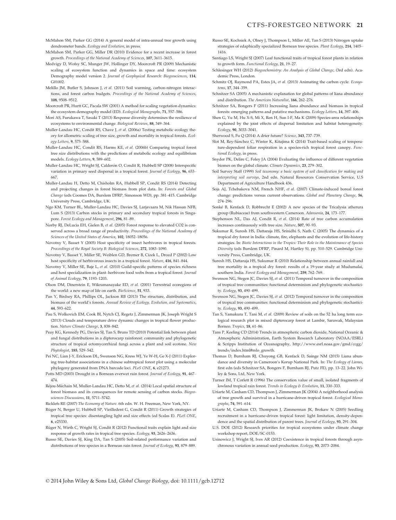- McMahon SM, Parker GG (2014) A general model of intra-annual tree growth using dendrometer bands. Ecology and Evolution, in press.
- McMahon SM, Parker GG, Miller DR (2010) Evidence for a recent increase in forest growth. Proceedings of the National Academy of Sciences, 107, 3611–3615.
- Medvigy D, Wofsy SC, Munger JW, Hollinger DY, Moorcroft PR (2009) Mechanistic scaling of ecosystem function and dynamics in space and time: ecosystem Demography model version 2. Journal of Geophysical Research: Biogeosciences, 114, G01002
- Melillo JM, Butler S, Johnson J, et al. (2011) Soil warming, carbon-nitrogen interactions, and forest carbon budgets. Proceedings of the National Academy of Sciences, 108, 9508–9512.
- Moorcroft PR, Hurtt GC, Pacala SW (2001) A method for scaling vegetation dynamics: the ecosystem demography model (ED). Ecological Monographs, 71, 557–586.
- Mori AS, Furukawa T, Sasaki T (2013) Response diversity determines the resilience of ecosystems to environmental change. Biological Reviews, 88, 349–364.
- Muller-Landau HC, Condit RS, Chave J, et al. (2006a) Testing metabolic ecology theory for allometric scaling of tree size, growth and mortality in tropical forests. Ecology Letters, 9, 575–588.
- Muller-Landau HC, Condit RS, Harms KE, et al. (2006b) Comparing tropical forest tree size distributions with the predictions of metabolic ecology and equilibrium models. Ecology Letters, 9, 589–602.
- Muller-Landau HC, Wright SJ, Calderón O, Condit R, Hubbell SP (2008) Interspecific variation in primary seed dispersal in a tropical forest. Journal of Ecology, 96, 653– 667.
- Muller-Landau H, Detto M, Chisholm RA, Hubbell SP, Condit RS (2014) Detecting and projecting changes in forest biomass from plot data. In: Forests and Global Change (eds Coomes DA, Burslem DFRP, Simonson WD), pp. 381–415. Cambridge University Press, Cambridge, UK.
- Ngo KM, Turner BL, Muller-Landau HC, Davies SJ, Larjavaara M, Nik Hassan NFB, Lum S (2013) Carbon stocks in primary and secondary tropical forests in Singapore. Forest Ecology and Management, 296, 81–89.
- Norby RJ, DeLucia EH, Gielen B, et al. (2005) Forest response to elevated CO2 is conserved across a broad range of productivity. Proceedings of the National Academy of Sciences of the United States of America, 102, 18052–18056.
- Novotny V, Basset Y (2005) Host specificity of insect herbivores in tropical forests. Proceedings of the Royal Society B: Biological Sciences, 272, 1083–1090.
- Novotny V, Basset Y, Miller SE, Weiblen GD, Bremer B, Cizek L, Drozd P (2002) Low host specificity of herbivorous insects in a tropical forest. Nature, 416, 841–844.
- Novotny V, Miller SE, Baje L, et al. (2010) Guild-specific patterns of species richness and host specialization in plant–herbivore food webs from a tropical forest. Journal of Animal Ecology, 79, 1193–1203.
- Olson DM, Dinerstein E, Wikramanayake ED, et al. (2001) Terrestrial ecoregions of the world: a new map of life on earth. BioScience, 51, 933.
- Pan Y, Birdsey RA, Phillips OL, Jackson RB (2013) The structure, distribution, and biomass of the world's forests. Annual Review of Ecology, Evolution, and Systematics, 44, 593–622.
- Pau S, Wolkovich EM, Cook BI, Nytch CJ, Regetz J, Zimmerman JK, Joseph Wright S (2013) Clouds and temperature drive dynamic changes in tropical flower production. Nature Climate Change, 3, 838–842.
- Peay KG, Kennedy PG, Davies SJ, Tan S, Bruns TD (2010) Potential link between plant and fungal distributions in a dipterocarp rainforest: community and phylogenetic structure of tropical ectomycorrhizal fungi across a plant and soil ecotone. New Phytologist, 185, 529–542.
- Pei NC, Lian J-Y, Erickson DL, Swenson NG, Kress WJ, Ye W-H, Ge X-J (2011) Exploring tree-habitat associations in a chinese subtropical forest plot using a molecular phylogeny generated from DNA barcode loci. PLoS ONE, 6, e21273.
- Potts MD (2003) Drought in a Bornean everwet rain forest. Journal of Ecology, 91, 467– 474.
- Rejou-Mechain M, Muller-Landau HC, Detto M, et al. (2014) Local spatial structure of forest biomass and its consequences for remote sensing of carbon stocks. Biogeosciences Discussions, 11, 5711–5742.
- Ricklefs RE (2007) The Economy of Nature. 6th edn. W. H. Freeman, New York, NY.
- Rüger N, Berger U, Hubbell SP, Vieilledent G, Condit R (2011) Growth strategies of tropical tree species: disentangling light and size effects (ed Scalas E). PLoS ONE, 6, e25330.
- Rüger N, Wirth C, Wright SJ, Condit R (2012) Functional traits explain light and size response of growth rates in tropical tree species. Ecology, 93, 2626–2636.
- Russo SE, Davies SJ, King DA, Tan S (2005) Soil-related performance variation and distributions of tree species in a Bornean rain forest. Journal of Ecology, 93, 879–889.
- Russo SE, Kochsiek A, Olney J, Thompson L, Miller AE, Tan S (2013) Nitrogen uptake strategies of edaphically specialized Bornean tree species. Plant Ecology, 214, 1405-1416.
- Santiago LS, Wright SJ (2007) Leaf functional traits of tropical forest plants in relation to growth form. Functional Ecology, 21, 19–27.
- Schlesinger WH (2012) Biogeochemistry: An Analysis of Global Change, (3rd edn). Academic Press, London.
- Schmitz OJ, Raymond PA, Estes JA, et al. (2013) Animating the carbon cycle. Ecosystems, 17, 344–359.
- Schnitzer SA (2005) A mechanistic explanation for global patterns of liana abundance and distribution. The American Naturalist, 166, 262–276.
- Schnitzer SA, Bongers F (2011) Increasing liana abundance and biomass in tropical forests: emerging patterns and putative mechanisms. Ecology Letters, 14, 397–406.
- Shen G, Yu M, Hu X-S, Mi X, Ren H, Sun I-F, Ma K (2009) Species-area relationships explained by the joint effects of dispersal limitation and habitat heterogeneity. Ecology, 90, 3033–3041.
- Sherwood S, Fu Q (2014) A drier future? Science, 343, 737–739.
- Slot M, Rey-Sánchez C, Winter K, Kitajima K (2014) Trait-based scaling of temperature-dependent foliar respiration in a species-rich tropical forest canopy. Functional Ecology, in press.
- Snyder PK, Delire C, Foley JA (2004) Evaluating the influence of different vegetation biomes on the global climate. Climate Dynamics, 23, 279–302.
- Soil Survey Staff (1999) Soil taxonomy: a basic system of soil classification for making and interpreting soil surveys, 2nd edn. Natural Resources Conservation Service, U.S Department of Agriculture Handbook 436.
- Soja AJ, Tchebakova NM, French NHF, et al. (2007) Climate-induced boreal forest change: predictions versus current observations. Global and Planetary Change, 56, 274–296.
- Sonke B, Kenfack D, Robbrecht E (2002) A new species of the Tricalysia atherura group (Rubiaceae) from southwestern Cameroon. Adansonia, 24, 173–177.
- Stephenson NL, Das AJ, Condit R, et al. (2014) Rate of tree carbon accumulation increases continuously with tree size. Nature, 507, 90–93.
- Sukumar R, Suresh HS, Dattaraja HS, Srinidhi S, Nath C (2005) The dynamics of a tropical dry forest in India: climate, fire, elephants and the evolution of life-history strategies. In: Biotic Interactions in the Tropics: Their Role in the Maintenance of Species Diversity (eds Burslem DFRP, Pinard M, Hartley S), pp. 510–529. Cambridge University Press, Cambridge, UK.
- Suresh HS, Dattaraja HS, Sukumar R (2010) Relationship between annual rainfall and tree mortality in a tropical dry forest: results of a 19-year study at Mudumalai, southern India. Forest Ecology and Management, 259, 762-769.
- Swenson NG, Stegen JC, Davies SJ, et al. (2011) Temporal turnover in the composition of tropical tree communities: functional determinism and phylogenetic stochasticity. Ecology, 93, 490–499.
- Swenson NG, Stegen JC, Davies SJ, et al. (2012) Temporal turnover in the composition of tropical tree communities: functional determinism and phylogenetic stochasticity. Ecology, 93, 490–499.
- Tan S, Yamakura T, Tani M, et al. (2009) Review of soils on the 52 ha long term ecological research plot in mixed dipterocarp forest at Lambir, Sarawak, Malaysian Borneo. Tropics, 18, 61–86.
- Tans P, Keeling CD (2014) Trends in atmospheric carbon dioxide, National Oceanic & Atmospheric Administration, Earth System Research Laboratory (NOAA/ESRL) & Scripps Institution of Oceanography, http://www.esrl.noaa.gov/gmd/ccgg/ trends/index.html#mlo\_growth.
- Thomas D, Burnham RJ, Chuyong GB, Kenfack D, Sainge NM (2015) Liana abundance and diversity in Cameroon's Korup National Park. In: The Ecology of Lianas, first edn (eds Schnitzer SA, Bongers F, Burnham RJ, Putz FE), pp. 13–22. John Wiley & Sons, Ltd, New York.
- Turner IM, T Corlett R (1996) The conservation value of small, isolated fragments of lowland tropical rain forest. Trends in Ecology & Evolution, 11, 330-333.
- Uriarte M, Canham CD, Thompson J, Zimmerman JK (2004) A neighborhood analysis of tree growth and survival in a hurricane-driven tropical forest. Ecological Monographs, 74, 591–614.
- Uriarte M, Canham CD, Thompson J, Zimmerman JK, Brokaw N (2005) Seedling recruitment in a hurricane-driven tropical forest: light limitation, density-dependence and the spatial distribution of parent trees. Journal of Ecology, 93, 291–304.
- U.S. DOE (2012) Research priorities for tropical ecosystems under climate change workshop report, DOE/SC-0153.
- Usinowicz J, Wright SJ, Ives AR (2012) Coexistence in tropical forests through asynchronous variation in annual seed production. Ecology, 93, 2073–2084.